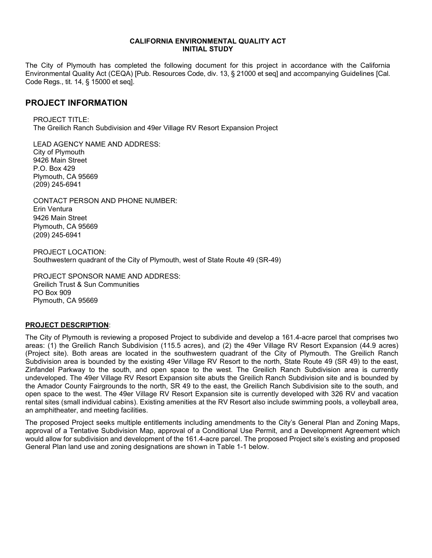#### **CALIFORNIA ENVIRONMENTAL QUALITY ACT INITIAL STUDY**

The City of Plymouth has completed the following document for this project in accordance with the California Environmental Quality Act (CEQA) [Pub. Resources Code, div. 13, § 21000 et seq] and accompanying Guidelines [Cal. Code Regs., tit. 14, § 15000 et seq].

# <span id="page-0-0"></span>**PROJECT INFORMATION**

PROJECT TITLE: The Greilich Ranch Subdivision and 49er Village RV Resort Expansion Project

LEAD AGENCY NAME AND ADDRESS: City of Plymouth 9426 Main Street P.O. Box 429 Plymouth, CA 95669 (209) 245-6941

CONTACT PERSON AND PHONE NUMBER: Erin Ventura 9426 Main Street Plymouth, CA 95669 (209) 245-6941

PROJECT LOCATION: Southwestern quadrant of the City of Plymouth, west of State Route 49 (SR-49)

PROJECT SPONSOR NAME AND ADDRESS: Greilich Trust & Sun Communities PO Box 909 Plymouth, CA 95669

# **PROJECT DESCRIPTION**:

The City of Plymouth is reviewing a proposed Project to subdivide and develop a 161.4-acre parcel that comprises two areas: (1) the Greilich Ranch Subdivision (115.5 acres), and (2) the 49er Village RV Resort Expansion (44.9 acres) (Project site). Both areas are located in the southwestern quadrant of the City of Plymouth. The Greilich Ranch Subdivision area is bounded by the existing 49er Village RV Resort to the north, State Route 49 (SR 49) to the east, Zinfandel Parkway to the south, and open space to the west. The Greilich Ranch Subdivision area is currently undeveloped. The 49er Village RV Resort Expansion site abuts the Greilich Ranch Subdivision site and is bounded by the Amador County Fairgrounds to the north, SR 49 to the east, the Greilich Ranch Subdivision site to the south, and open space to the west. The 49er Village RV Resort Expansion site is currently developed with 326 RV and vacation rental sites (small individual cabins). Existing amenities at the RV Resort also include swimming pools, a volleyball area, an amphitheater, and meeting facilities.

The proposed Project seeks multiple entitlements including amendments to the City's General Plan and Zoning Maps, approval of a Tentative Subdivision Map, approval of a Conditional Use Permit, and a Development Agreement which would allow for subdivision and development of the 161.4-acre parcel. The proposed Project site's existing and proposed General Plan land use and zoning designations are shown in Table 1-1 below.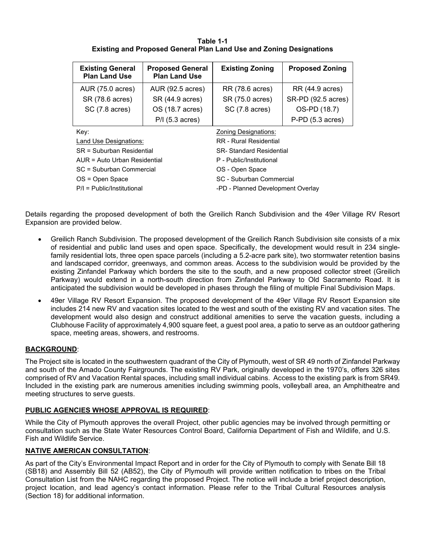# **Table 1-1 Existing and Proposed General Plan Land Use and Zoning Designations**

| <b>Existing General</b><br><b>Plan Land Use</b> | <b>Proposed General</b><br><b>Plan Land Use</b> | <b>Existing Zoning</b>      | <b>Proposed Zoning</b> |
|-------------------------------------------------|-------------------------------------------------|-----------------------------|------------------------|
| AUR (75.0 acres)                                | AUR (92.5 acres)                                | RR (78.6 acres)             | RR (44.9 acres)        |
| SR (78.6 acres)                                 | SR (44.9 acres)                                 | SR (75.0 acres)             | SR-PD (92.5 acres)     |
| SC (7.8 acres)                                  | OS (18.7 acres)                                 | SC (7.8 acres)              | OS-PD (18.7)           |
|                                                 | $P/I$ (5.3 acres)                               |                             | $P-PD$ (5.3 acres)     |
| Key:                                            |                                                 | <b>Zoning Designations:</b> |                        |

Land Use Designations: SR = Suburban Residential AUR = Auto Urban Residential SC = Suburban Commercial OS = Open Space P/I = Public/Institutional RR - Rural Residential SR- Standard Residential P - Public/Institutional OS - Open Space SC - Suburban Commercial -PD - Planned Development Overlay

Details regarding the proposed development of both the Greilich Ranch Subdivision and the 49er Village RV Resort Expansion are provided below.

- Greilich Ranch Subdivision. The proposed development of the Greilich Ranch Subdivision site consists of a mix of residential and public land uses and open space. Specifically, the development would result in 234 singlefamily residential lots, three open space parcels (including a 5.2-acre park site), two stormwater retention basins and landscaped corridor, greenways, and common areas. Access to the subdivision would be provided by the existing Zinfandel Parkway which borders the site to the south, and a new proposed collector street (Greilich Parkway) would extend in a north-south direction from Zinfandel Parkway to Old Sacramento Road. It is anticipated the subdivision would be developed in phases through the filing of multiple Final Subdivision Maps.
- 49er Village RV Resort Expansion. The proposed development of the 49er Village RV Resort Expansion site includes 214 new RV and vacation sites located to the west and south of the existing RV and vacation sites. The development would also design and construct additional amenities to serve the vacation guests, including a Clubhouse Facility of approximately 4,900 square feet, a guest pool area, a patio to serve as an outdoor gathering space, meeting areas, showers, and restrooms.

# **BACKGROUND**:

The Project site is located in the southwestern quadrant of the City of Plymouth, west of SR 49 north of Zinfandel Parkway and south of the Amado County Fairgrounds. The existing RV Park, originally developed in the 1970's, offers 326 sites comprised of RV and Vacation Rental spaces, including small individual cabins. Access to the existing park is from SR49. Included in the existing park are numerous amenities including swimming pools, volleyball area, an Amphitheatre and meeting structures to serve guests.

# **PUBLIC AGENCIES WHOSE APPROVAL IS REQUIRED**:

While the City of Plymouth approves the overall Project, other public agencies may be involved through permitting or consultation such as the State Water Resources Control Board, California Department of Fish and Wildlife, and U.S. Fish and Wildlife Service.

# **NATIVE AMERICAN CONSULTATION**:

As part of the City's Environmental Impact Report and in order for the City of Plymouth to comply with Senate Bill 18 (SB18) and Assembly Bill 52 (AB52), the City of Plymouth will provide written notification to tribes on the Tribal Consultation List from the NAHC regarding the proposed Project. The notice will include a brief project description, project location, and lead agency's contact information. Please refer to the Tribal Cultural Resources analysis (Section 18) for additional information.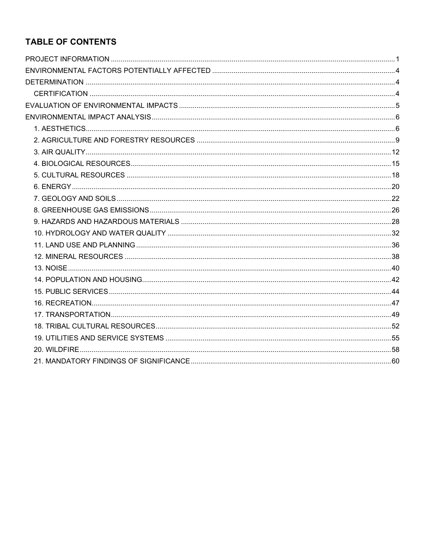# **TABLE OF CONTENTS**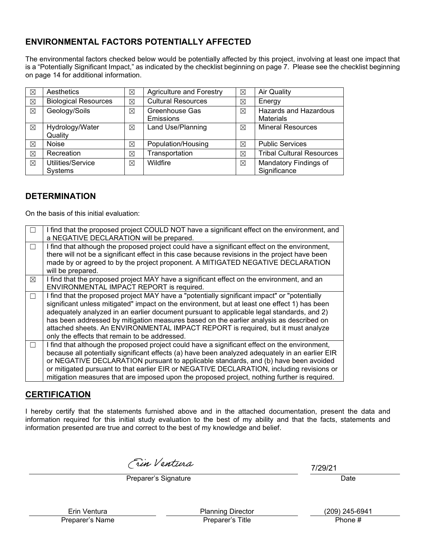# <span id="page-3-0"></span>**ENVIRONMENTAL FACTORS POTENTIALLY AFFECTED**

The environmental factors checked below would be potentially affected by this project, involving at least one impact that is a "Potentially Significant Impact," as indicated by the checklist beginning on page 7. Please see the checklist beginning on page 14 for additional information.

| ⊠           | Aesthetics                          | $\boxtimes$ | <b>Agriculture and Forestry</b>    | ⊠           | <b>Air Quality</b>                               |
|-------------|-------------------------------------|-------------|------------------------------------|-------------|--------------------------------------------------|
| $\boxtimes$ | <b>Biological Resources</b>         | $\boxtimes$ | <b>Cultural Resources</b>          | ⊠           | Energy                                           |
| $\boxtimes$ | Geology/Soils                       | $\boxtimes$ | Greenhouse Gas<br><b>Emissions</b> | ⊠           | <b>Hazards and Hazardous</b><br><b>Materials</b> |
| $\boxtimes$ | Hydrology/Water<br>Quality          | ⊠           | Land Use/Planning                  | $\boxtimes$ | <b>Mineral Resources</b>                         |
| $\boxtimes$ | <b>Noise</b>                        | $\boxtimes$ | Population/Housing                 | ⊠           | <b>Public Services</b>                           |
| $\boxtimes$ | Recreation                          | ⊠           | Transportation                     | ⊠           | <b>Tribal Cultural Resources</b>                 |
| $\boxtimes$ | Utilities/Service<br><b>Systems</b> | ⊠           | Wildfire                           | ⊠           | Mandatory Findings of<br>Significance            |

# <span id="page-3-1"></span>**DETERMINATION**

On the basis of this initial evaluation:

|   | I find that the proposed project COULD NOT have a significant effect on the environment, and<br>a NEGATIVE DECLARATION will be prepared.                                                                                                                                                                                                                                                                                                                                                                                  |
|---|---------------------------------------------------------------------------------------------------------------------------------------------------------------------------------------------------------------------------------------------------------------------------------------------------------------------------------------------------------------------------------------------------------------------------------------------------------------------------------------------------------------------------|
| П | I find that although the proposed project could have a significant effect on the environment,<br>there will not be a significant effect in this case because revisions in the project have been<br>made by or agreed to by the project proponent. A MITIGATED NEGATIVE DECLARATION<br>will be prepared.                                                                                                                                                                                                                   |
| ⊠ | I find that the proposed project MAY have a significant effect on the environment, and an<br>ENVIRONMENTAL IMPACT REPORT is required.                                                                                                                                                                                                                                                                                                                                                                                     |
| П | I find that the proposed project MAY have a "potentially significant impact" or "potentially<br>significant unless mitigated" impact on the environment, but at least one effect 1) has been<br>adequately analyzed in an earlier document pursuant to applicable legal standards, and 2)<br>has been addressed by mitigation measures based on the earlier analysis as described on<br>attached sheets. An ENVIRONMENTAL IMPACT REPORT is required, but it must analyze<br>only the effects that remain to be addressed. |
|   | I find that although the proposed project could have a significant effect on the environment,<br>because all potentially significant effects (a) have been analyzed adequately in an earlier EIR<br>or NEGATIVE DECLARATION pursuant to applicable standards, and (b) have been avoided<br>or mitigated pursuant to that earlier EIR or NEGATIVE DECLARATION, including revisions or<br>mitigation measures that are imposed upon the proposed project, nothing further is required.                                      |

# <span id="page-3-2"></span>**CERTIFICATION**

I hereby certify that the statements furnished above and in the attached documentation, present the data and information required for this initial study evaluation to the best of my ability and that the facts, statements and information presented are true and correct to the best of my knowledge and belief.

Frin Ventura

7/29/21

Preparer's Signature Date

Erin Ventura Planning Director (209) 245-6941 Preparer's Name Preparer's Title Phone #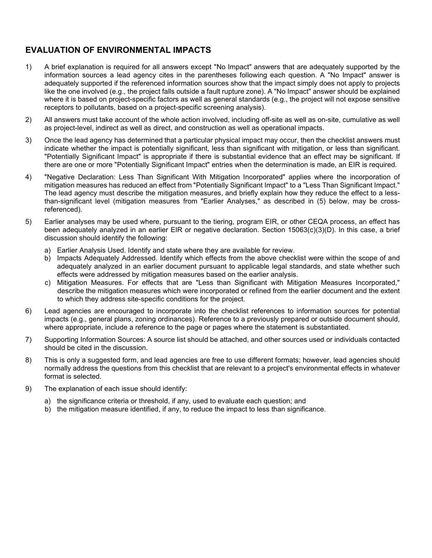# <span id="page-4-0"></span>**EVALUATION OF ENVIRONMENTAL IMPACTS**

- 1) A brief explanation is required for all answers except "No Impact" answers that are adequately supported by the information sources a lead agency cites in the parentheses following each question. A "No Impact" answer is adequately supported if the referenced information sources show that the impact simply does not apply to projects like the one involved (e.g., the project falls outside a fault rupture zone). A "No Impact" answer should be explained where it is based on project-specific factors as well as general standards (e.g., the project will not expose sensitive receptors to pollutants, based on a project-specific screening analysis).
- 2) All answers must take account of the whole action involved, including off-site as well as on-site, cumulative as well as project-level, indirect as well as direct, and construction as well as operational impacts.
- 3) Once the lead agency has determined that a particular physical impact may occur, then the checklist answers must indicate whether the impact is potentially significant, less than significant with mitigation, or less than significant. "Potentially Significant Impact" is appropriate if there is substantial evidence that an effect may be significant. If there are one or more "Potentially Significant Impact" entries when the determination is made, an EIR is required.
- 4) "Negative Declaration: Less Than Significant With Mitigation Incorporated" applies where the incorporation of mitigation measures has reduced an effect from "Potentially Significant Impact" to a "Less Than Significant Impact." The lead agency must describe the mitigation measures, and briefly explain how they reduce the effect to a lessthan-significant level (mitigation measures from "Earlier Analyses," as described in (5) below, may be crossreferenced).
- 5) Earlier analyses may be used where, pursuant to the tiering, program EIR, or other CEQA process, an effect has been adequately analyzed in an earlier EIR or negative declaration. Section 15063(c)(3)(D). In this case, a brief discussion should identify the following:
	- a) Earlier Analysis Used. Identify and state where they are available for review.
	- b) Impacts Adequately Addressed. Identify which effects from the above checklist were within the scope of and adequately analyzed in an earlier document pursuant to applicable legal standards, and state whether such effects were addressed by mitigation measures based on the earlier analysis.
	- c) Mitigation Measures. For effects that are "Less than Significant with Mitigation Measures Incorporated," describe the mitigation measures which were incorporated or refined from the earlier document and the extent to which they address site-specific conditions for the project.
- 6) Lead agencies are encouraged to incorporate into the checklist references to information sources for potential impacts (e.g., general plans, zoning ordinances). Reference to a previously prepared or outside document should, where appropriate, include a reference to the page or pages where the statement is substantiated.
- 7) Supporting Information Sources: A source list should be attached, and other sources used or individuals contacted should be cited in the discussion.
- 8) This is only a suggested form, and lead agencies are free to use different formats; however, lead agencies should normally address the questions from this checklist that are relevant to a project's environmental effects in whatever format is selected.
- 9) The explanation of each issue should identify:
	- a) the significance criteria or threshold, if any, used to evaluate each question; and
	- b) the mitigation measure identified, if any, to reduce the impact to less than significance.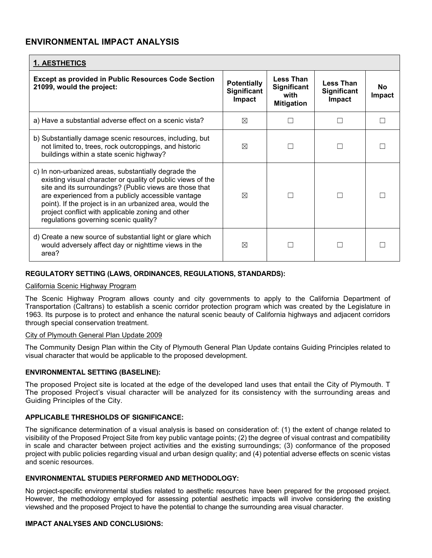# <span id="page-5-0"></span>**ENVIRONMENTAL IMPACT ANALYSIS**

<span id="page-5-1"></span>

| 1. AESTHETICS                                                                                                                                                                                                                                                                                                                                                                                   |                                                    |                                                                     |                                                  |                     |  |
|-------------------------------------------------------------------------------------------------------------------------------------------------------------------------------------------------------------------------------------------------------------------------------------------------------------------------------------------------------------------------------------------------|----------------------------------------------------|---------------------------------------------------------------------|--------------------------------------------------|---------------------|--|
| <b>Except as provided in Public Resources Code Section</b><br>21099, would the project:                                                                                                                                                                                                                                                                                                         | <b>Potentially</b><br><b>Significant</b><br>Impact | <b>Less Than</b><br><b>Significant</b><br>with<br><b>Mitigation</b> | <b>Less Than</b><br><b>Significant</b><br>Impact | <b>No</b><br>Impact |  |
| a) Have a substantial adverse effect on a scenic vista?                                                                                                                                                                                                                                                                                                                                         | $\boxtimes$                                        |                                                                     |                                                  |                     |  |
| b) Substantially damage scenic resources, including, but<br>not limited to, trees, rock outcroppings, and historic<br>buildings within a state scenic highway?                                                                                                                                                                                                                                  | ⊠                                                  |                                                                     |                                                  |                     |  |
| c) In non-urbanized areas, substantially degrade the<br>existing visual character or quality of public views of the<br>site and its surroundings? (Public views are those that<br>are experienced from a publicly accessible vantage<br>point). If the project is in an urbanized area, would the<br>project conflict with applicable zoning and other<br>regulations governing scenic quality? | ⊠                                                  |                                                                     |                                                  |                     |  |
| d) Create a new source of substantial light or glare which<br>would adversely affect day or nighttime views in the<br>area?                                                                                                                                                                                                                                                                     | ⊠                                                  |                                                                     |                                                  |                     |  |

# **REGULATORY SETTING (LAWS, ORDINANCES, REGULATIONS, STANDARDS):**

#### California Scenic Highway Program

The Scenic Highway Program allows county and city governments to apply to the California Department of Transportation (Caltrans) to establish a scenic corridor protection program which was created by the Legislature in 1963. Its purpose is to protect and enhance the natural scenic beauty of California highways and adjacent corridors through special conservation treatment.

#### City of Plymouth General Plan Update 2009

The Community Design Plan within the City of Plymouth General Plan Update contains Guiding Principles related to visual character that would be applicable to the proposed development.

# **ENVIRONMENTAL SETTING (BASELINE):**

The proposed Project site is located at the edge of the developed land uses that entail the City of Plymouth. T The proposed Project's visual character will be analyzed for its consistency with the surrounding areas and Guiding Principles of the City.

# **APPLICABLE THRESHOLDS OF SIGNIFICANCE:**

The significance determination of a visual analysis is based on consideration of: (1) the extent of change related to visibility of the Proposed Project Site from key public vantage points; (2) the degree of visual contrast and compatibility in scale and character between project activities and the existing surroundings; (3) conformance of the proposed project with public policies regarding visual and urban design quality; and (4) potential adverse effects on scenic vistas and scenic resources.

# **ENVIRONMENTAL STUDIES PERFORMED AND METHODOLOGY:**

No project-specific environmental studies related to aesthetic resources have been prepared for the proposed project. However, the methodology employed for assessing potential aesthetic impacts will involve considering the existing viewshed and the proposed Project to have the potential to change the surrounding area visual character.

# **IMPACT ANALYSES AND CONCLUSIONS:**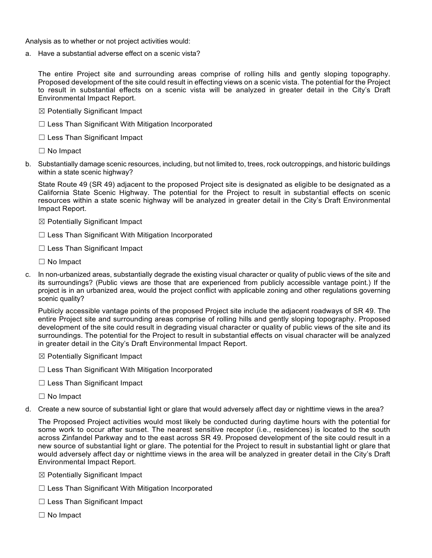Analysis as to whether or not project activities would:

a. Have a substantial adverse effect on a scenic vista?

The entire Project site and surrounding areas comprise of rolling hills and gently sloping topography. Proposed development of the site could result in effecting views on a scenic vista. The potential for the Project to result in substantial effects on a scenic vista will be analyzed in greater detail in the City's Draft Environmental Impact Report.

- $\boxtimes$  Potentially Significant Impact
- ☐ Less Than Significant With Mitigation Incorporated
- $\Box$  Less Than Significant Impact
- ☐ No Impact
- b. Substantially damage scenic resources, including, but not limited to, trees, rock outcroppings, and historic buildings within a state scenic highway?

State Route 49 (SR 49) adjacent to the proposed Project site is designated as eligible to be designated as a California State Scenic Highway. The potential for the Project to result in substantial effects on scenic resources within a state scenic highway will be analyzed in greater detail in the City's Draft Environmental Impact Report.

- ☒ Potentially Significant Impact
- ☐ Less Than Significant With Mitigation Incorporated
- $\Box$  Less Than Significant Impact
- ☐ No Impact
- c. In non-urbanized areas, substantially degrade the existing visual character or quality of public views of the site and its surroundings? (Public views are those that are experienced from publicly accessible vantage point.) If the project is in an urbanized area, would the project conflict with applicable zoning and other regulations governing scenic quality?

Publicly accessible vantage points of the proposed Project site include the adjacent roadways of SR 49. The entire Project site and surrounding areas comprise of rolling hills and gently sloping topography. Proposed development of the site could result in degrading visual character or quality of public views of the site and its surroundings. The potential for the Project to result in substantial effects on visual character will be analyzed in greater detail in the City's Draft Environmental Impact Report.

- ☒ Potentially Significant Impact
- $\Box$  Less Than Significant With Mitigation Incorporated
- ☐ Less Than Significant Impact
- ☐ No Impact
- d. Create a new source of substantial light or glare that would adversely affect day or nighttime views in the area?

The Proposed Project activities would most likely be conducted during daytime hours with the potential for some work to occur after sunset. The nearest sensitive receptor (i.e., residences) is located to the south across Zinfandel Parkway and to the east across SR 49. Proposed development of the site could result in a new source of substantial light or glare. The potential for the Project to result in substantial light or glare that would adversely affect day or nighttime views in the area will be analyzed in greater detail in the City's Draft Environmental Impact Report.

- ☒ Potentially Significant Impact
- ☐ Less Than Significant With Mitigation Incorporated
- $\Box$  Less Than Significant Impact
- ☐ No Impact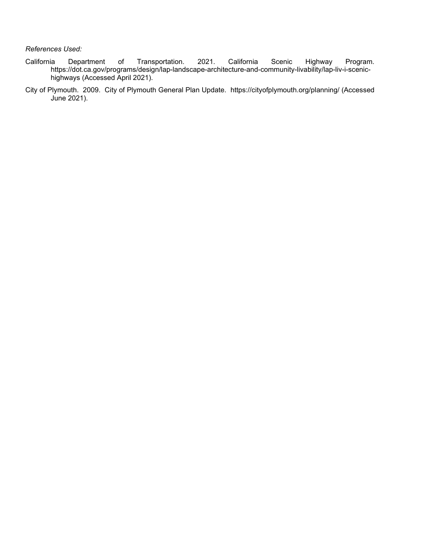- California Department of Transportation. 2021. California Scenic Highway Program. https://dot.ca.gov/programs/design/lap-landscape-architecture-and-community-livability/lap-liv-i-scenichighways (Accessed April 2021).
- <span id="page-7-0"></span>City of Plymouth. 2009. City of Plymouth General Plan Update. https://cityofplymouth.org/planning/ (Accessed June 2021).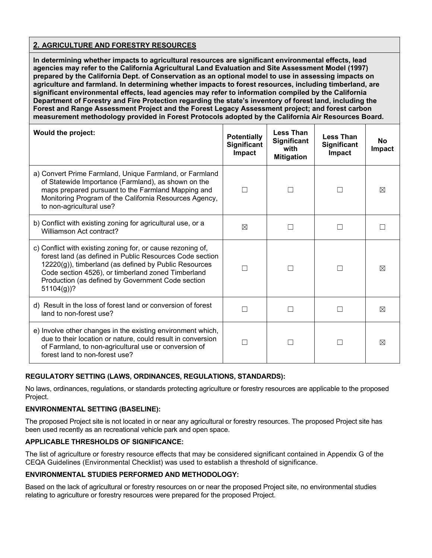# <span id="page-8-0"></span>**2. AGRICULTURE AND FORESTRY RESOURCES**

**In determining whether impacts to agricultural resources are significant environmental effects, lead agencies may refer to the California Agricultural Land Evaluation and Site Assessment Model (1997) prepared by the California Dept. of Conservation as an optional model to use in assessing impacts on agriculture and farmland. In determining whether impacts to forest resources, including timberland, are significant environmental effects, lead agencies may refer to information compiled by the California Department of Forestry and Fire Protection regarding the state's inventory of forest land, including the Forest and Range Assessment Project and the Forest Legacy Assessment project; and forest carbon measurement methodology provided in Forest Protocols adopted by the California Air Resources Board.** 

| Would the project:                                                                                                                                                                                                                                                                                          | <b>Potentially</b><br>Significant<br>Impact | <b>Less Than</b><br>Significant<br>with<br><b>Mitigation</b> | <b>Less Than</b><br>Significant<br>Impact | No<br>Impact |
|-------------------------------------------------------------------------------------------------------------------------------------------------------------------------------------------------------------------------------------------------------------------------------------------------------------|---------------------------------------------|--------------------------------------------------------------|-------------------------------------------|--------------|
| a) Convert Prime Farmland, Unique Farmland, or Farmland<br>of Statewide Importance (Farmland), as shown on the<br>maps prepared pursuant to the Farmland Mapping and<br>Monitoring Program of the California Resources Agency,<br>to non-agricultural use?                                                  |                                             |                                                              |                                           | ⊠            |
| b) Conflict with existing zoning for agricultural use, or a<br>Williamson Act contract?                                                                                                                                                                                                                     | $\boxtimes$                                 |                                                              |                                           |              |
| c) Conflict with existing zoning for, or cause rezoning of,<br>forest land (as defined in Public Resources Code section<br>12220(g)), timberland (as defined by Public Resources<br>Code section 4526), or timberland zoned Timberland<br>Production (as defined by Government Code section<br>$51104(g)$ ? |                                             |                                                              |                                           | ⊠            |
| d) Result in the loss of forest land or conversion of forest<br>land to non-forest use?                                                                                                                                                                                                                     |                                             |                                                              |                                           | ⊠            |
| e) Involve other changes in the existing environment which,<br>due to their location or nature, could result in conversion<br>of Farmland, to non-agricultural use or conversion of<br>forest land to non-forest use?                                                                                       |                                             |                                                              |                                           | ⊠            |

# **REGULATORY SETTING (LAWS, ORDINANCES, REGULATIONS, STANDARDS):**

No laws, ordinances, regulations, or standards protecting agriculture or forestry resources are applicable to the proposed Project.

# **ENVIRONMENTAL SETTING (BASELINE):**

The proposed Project site is not located in or near any agricultural or forestry resources. The proposed Project site has been used recently as an recreational vehicle park and open space.

# **APPLICABLE THRESHOLDS OF SIGNIFICANCE:**

The list of agriculture or forestry resource effects that may be considered significant contained in Appendix G of the CEQA Guidelines (Environmental Checklist) was used to establish a threshold of significance.

# **ENVIRONMENTAL STUDIES PERFORMED AND METHODOLOGY:**

Based on the lack of agricultural or forestry resources on or near the proposed Project site, no environmental studies relating to agriculture or forestry resources were prepared for the proposed Project.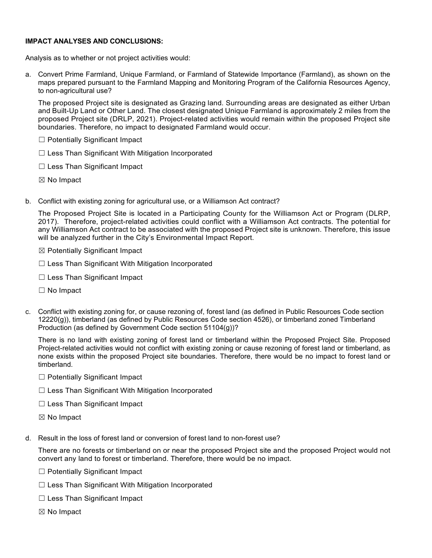#### **IMPACT ANALYSES AND CONCLUSIONS:**

Analysis as to whether or not project activities would:

a. Convert Prime Farmland, Unique Farmland, or Farmland of Statewide Importance (Farmland), as shown on the maps prepared pursuant to the Farmland Mapping and Monitoring Program of the California Resources Agency, to non-agricultural use?

The proposed Project site is designated as Grazing land. Surrounding areas are designated as either Urban and Built-Up Land or Other Land. The closest designated Unique Farmland is approximately 2 miles from the proposed Project site (DRLP, 2021). Project-related activities would remain within the proposed Project site boundaries. Therefore, no impact to designated Farmland would occur.

- ☐ Potentially Significant Impact
- ☐ Less Than Significant With Mitigation Incorporated
- ☐ Less Than Significant Impact
- ☒ No Impact
- b. Conflict with existing zoning for agricultural use, or a Williamson Act contract?

The Proposed Project Site is located in a Participating County for the Williamson Act or Program (DLRP, 2017). Therefore, project-related activities could conflict with a Williamson Act contracts. The potential for any Williamson Act contract to be associated with the proposed Project site is unknown. Therefore, this issue will be analyzed further in the City's Environmental Impact Report.

- $\boxtimes$  Potentially Significant Impact
- ☐ Less Than Significant With Mitigation Incorporated
- $\Box$  Less Than Significant Impact
- ☐ No Impact
- c. Conflict with existing zoning for, or cause rezoning of, forest land (as defined in Public Resources Code section 12220(g)), timberland (as defined by Public Resources Code section 4526), or timberland zoned Timberland Production (as defined by Government Code section 51104(g))?

There is no land with existing zoning of forest land or timberland within the Proposed Project Site. Proposed Project-related activities would not conflict with existing zoning or cause rezoning of forest land or timberland, as none exists within the proposed Project site boundaries. Therefore, there would be no impact to forest land or timberland.

- $\Box$  Potentially Significant Impact
- ☐ Less Than Significant With Mitigation Incorporated
- $\Box$  Less Than Significant Impact
- ☒ No Impact
- d. Result in the loss of forest land or conversion of forest land to non-forest use?

There are no forests or timberland on or near the proposed Project site and the proposed Project would not convert any land to forest or timberland. Therefore, there would be no impact.

- ☐ Potentially Significant Impact
- ☐ Less Than Significant With Mitigation Incorporated
- $\Box$  Less Than Significant Impact
- ☒ No Impact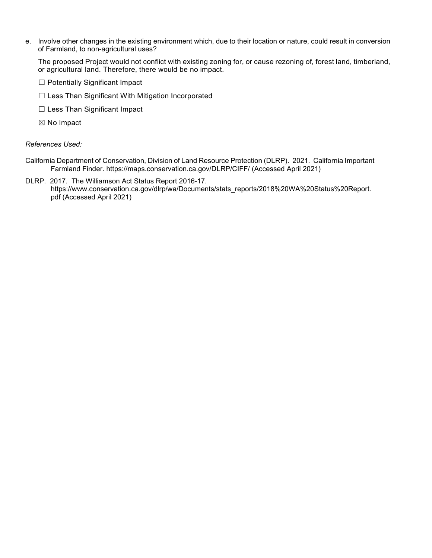e. Involve other changes in the existing environment which, due to their location or nature, could result in conversion of Farmland, to non-agricultural uses?

The proposed Project would not conflict with existing zoning for, or cause rezoning of, forest land, timberland, or agricultural land. Therefore, there would be no impact.

- ☐ Potentially Significant Impact
- ☐ Less Than Significant With Mitigation Incorporated
- ☐ Less Than Significant Impact
- ☒ No Impact

- <span id="page-10-0"></span>California Department of Conservation, Division of Land Resource Protection (DLRP). 2021. California Important Farmland Finder. https://maps.conservation.ca.gov/DLRP/CIFF/ (Accessed April 2021)
- DLRP. 2017. The Williamson Act Status Report 2016-17. https://www.conservation.ca.gov/dlrp/wa/Documents/stats\_reports/2018%20WA%20Status%20Report. pdf (Accessed April 2021)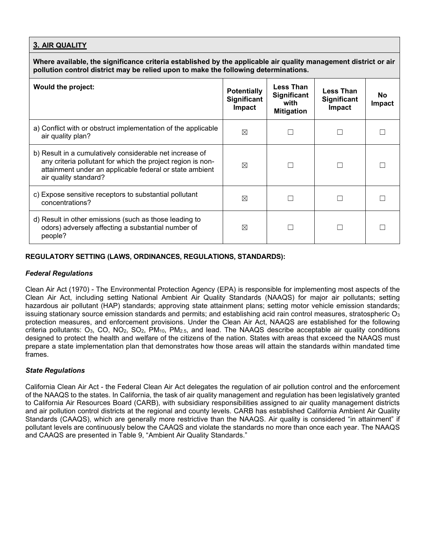# <span id="page-11-0"></span>**3. AIR QUALITY**

**Where available, the significance criteria established by the applicable air quality management district or air pollution control district may be relied upon to make the following determinations.** 

| <b>Would the project:</b>                                                                                                                                                                                   | <b>Potentially</b><br>Significant<br>Impact | <b>Less Than</b><br>Significant<br>with<br><b>Mitigation</b> | <b>Less Than</b><br><b>Significant</b><br>Impact | No.<br><b>Impact</b> |
|-------------------------------------------------------------------------------------------------------------------------------------------------------------------------------------------------------------|---------------------------------------------|--------------------------------------------------------------|--------------------------------------------------|----------------------|
| a) Conflict with or obstruct implementation of the applicable<br>air quality plan?                                                                                                                          | ⊠                                           |                                                              |                                                  |                      |
| b) Result in a cumulatively considerable net increase of<br>any criteria pollutant for which the project region is non-<br>attainment under an applicable federal or state ambient<br>air quality standard? | ⊠                                           |                                                              |                                                  |                      |
| c) Expose sensitive receptors to substantial pollutant<br>concentrations?                                                                                                                                   | ⊠                                           |                                                              |                                                  |                      |
| d) Result in other emissions (such as those leading to<br>odors) adversely affecting a substantial number of<br>people?                                                                                     | ⊠                                           |                                                              |                                                  |                      |

### **REGULATORY SETTING (LAWS, ORDINANCES, REGULATIONS, STANDARDS):**

### *Federal Regulations*

Clean Air Act (1970) - The Environmental Protection Agency (EPA) is responsible for implementing most aspects of the Clean Air Act, including setting National Ambient Air Quality Standards (NAAQS) for major air pollutants; setting hazardous air pollutant (HAP) standards; approving state attainment plans; setting motor vehicle emission standards; issuing stationary source emission standards and permits; and establishing acid rain control measures, stratospheric  $O_3$ protection measures, and enforcement provisions. Under the Clean Air Act, NAAQS are established for the following criteria pollutants:  $O_3$ ,  $CO$ ,  $NO_2$ ,  $SO_2$ ,  $PM_{10}$ ,  $PM_{2.5}$ , and lead. The NAAQS describe acceptable air quality conditions designed to protect the health and welfare of the citizens of the nation. States with areas that exceed the NAAQS must prepare a state implementation plan that demonstrates how those areas will attain the standards within mandated time frames.

#### *State Regulations*

California Clean Air Act - the Federal Clean Air Act delegates the regulation of air pollution control and the enforcement of the NAAQS to the states. In California, the task of air quality management and regulation has been legislatively granted to California Air Resources Board (CARB), with subsidiary responsibilities assigned to air quality management districts and air pollution control districts at the regional and county levels. CARB has established California Ambient Air Quality Standards (CAAQS), which are generally more restrictive than the NAAQS. Air quality is considered "in attainment" if pollutant levels are continuously below the CAAQS and violate the standards no more than once each year. The NAAQS and CAAQS are presented in Table 9, "Ambient Air Quality Standards."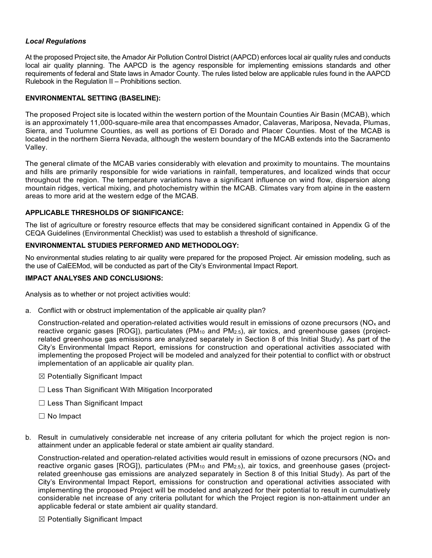### *Local Regulations*

At the proposed Project site, the Amador Air Pollution Control District (AAPCD) enforces local air quality rules and conducts local air quality planning. The AAPCD is the agency responsible for implementing emissions standards and other requirements of federal and State laws in Amador County. The rules listed below are applicable rules found in the AAPCD Rulebook in the Regulation II – Prohibitions section.

#### **ENVIRONMENTAL SETTING (BASELINE):**

The proposed Project site is located within the western portion of the Mountain Counties Air Basin (MCAB), which is an approximately 11,000-square-mile area that encompasses Amador, Calaveras, Mariposa, Nevada, Plumas, Sierra, and Tuolumne Counties, as well as portions of El Dorado and Placer Counties. Most of the MCAB is located in the northern Sierra Nevada, although the western boundary of the MCAB extends into the Sacramento Valley.

The general climate of the MCAB varies considerably with elevation and proximity to mountains. The mountains and hills are primarily responsible for wide variations in rainfall, temperatures, and localized winds that occur throughout the region. The temperature variations have a significant influence on wind flow, dispersion along mountain ridges, vertical mixing, and photochemistry within the MCAB. Climates vary from alpine in the eastern areas to more arid at the western edge of the MCAB.

#### **APPLICABLE THRESHOLDS OF SIGNIFICANCE:**

The list of agriculture or forestry resource effects that may be considered significant contained in Appendix G of the CEQA Guidelines (Environmental Checklist) was used to establish a threshold of significance.

#### **ENVIRONMENTAL STUDIES PERFORMED AND METHODOLOGY:**

No environmental studies relating to air quality were prepared for the proposed Project. Air emission modeling, such as the use of CalEEMod, will be conducted as part of the City's Environmental Impact Report.

#### **IMPACT ANALYSES AND CONCLUSIONS:**

Analysis as to whether or not project activities would:

a. Conflict with or obstruct implementation of the applicable air quality plan?

Construction-related and operation-related activities would result in emissions of ozone precursors ( $NO<sub>x</sub>$  and reactive organic gases [ROG]), particulates (PM<sub>10</sub> and PM<sub>2.5</sub>), air toxics, and greenhouse gases (projectrelated greenhouse gas emissions are analyzed separately in Section 8 of this Initial Study). As part of the City's Environmental Impact Report, emissions for construction and operational activities associated with implementing the proposed Project will be modeled and analyzed for their potential to conflict with or obstruct implementation of an applicable air quality plan.

- ☒ Potentially Significant Impact
- $\Box$  Less Than Significant With Mitigation Incorporated
- ☐ Less Than Significant Impact
- ☐ No Impact
- b. Result in cumulatively considerable net increase of any criteria pollutant for which the project region is nonattainment under an applicable federal or state ambient air quality standard.

Construction-related and operation-related activities would result in emissions of ozone precursors ( $NO<sub>x</sub>$  and reactive organic gases [ROG]), particulates (PM<sub>10</sub> and PM<sub>2.5</sub>), air toxics, and greenhouse gases (projectrelated greenhouse gas emissions are analyzed separately in Section 8 of this Initial Study). As part of the City's Environmental Impact Report, emissions for construction and operational activities associated with implementing the proposed Project will be modeled and analyzed for their potential to result in cumulatively considerable net increase of any criteria pollutant for which the Project region is non-attainment under an applicable federal or state ambient air quality standard.

☒ Potentially Significant Impact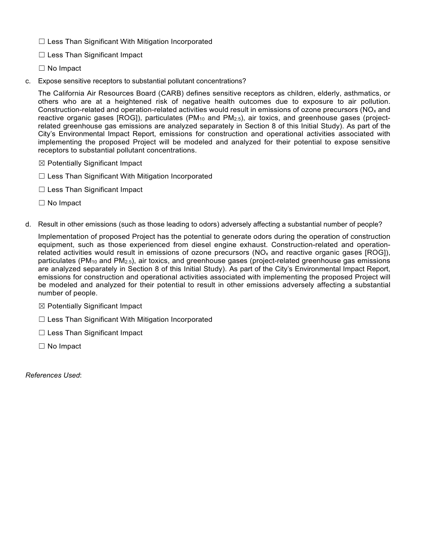- ☐ Less Than Significant With Mitigation Incorporated
- ☐ Less Than Significant Impact
- ☐ No Impact
- c. Expose sensitive receptors to substantial pollutant concentrations?

The California Air Resources Board (CARB) defines sensitive receptors as children, elderly, asthmatics, or others who are at a heightened risk of negative health outcomes due to exposure to air pollution. Construction-related and operation-related activities would result in emissions of ozone precursors ( $NO<sub>x</sub>$  and reactive organic gases  $[ROG]$ , particulates  $(PM_{10}$  and  $PM_{2.5})$ , air toxics, and greenhouse gases (projectrelated greenhouse gas emissions are analyzed separately in Section 8 of this Initial Study). As part of the City's Environmental Impact Report, emissions for construction and operational activities associated with implementing the proposed Project will be modeled and analyzed for their potential to expose sensitive receptors to substantial pollutant concentrations.

- ☒ Potentially Significant Impact
- $\Box$  Less Than Significant With Mitigation Incorporated
- ☐ Less Than Significant Impact
- ☐ No Impact
- d. Result in other emissions (such as those leading to odors) adversely affecting a substantial number of people?

Implementation of proposed Project has the potential to generate odors during the operation of construction equipment, such as those experienced from diesel engine exhaust. Construction-related and operationrelated activities would result in emissions of ozone precursors ( $NO<sub>x</sub>$  and reactive organic gases [ $ROG$ ]), particulates (PM10 and PM2.5), air toxics, and greenhouse gases (project-related greenhouse gas emissions are analyzed separately in Section 8 of this Initial Study). As part of the City's Environmental Impact Report, emissions for construction and operational activities associated with implementing the proposed Project will be modeled and analyzed for their potential to result in other emissions adversely affecting a substantial number of people.

- ☒ Potentially Significant Impact
- ☐ Less Than Significant With Mitigation Incorporated
- ☐ Less Than Significant Impact
- <span id="page-13-0"></span>☐ No Impact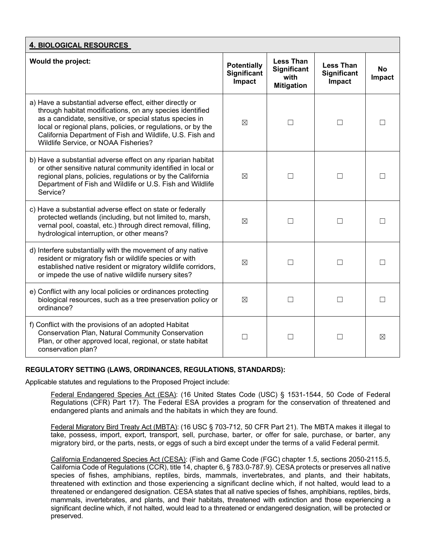<span id="page-14-0"></span>

| <b>4. BIOLOGICAL RESOURCES</b>                                                                                                                                                                                                                                                                                                                       |                                                    |                                                                     |                                                  |              |  |
|------------------------------------------------------------------------------------------------------------------------------------------------------------------------------------------------------------------------------------------------------------------------------------------------------------------------------------------------------|----------------------------------------------------|---------------------------------------------------------------------|--------------------------------------------------|--------------|--|
| <b>Would the project:</b>                                                                                                                                                                                                                                                                                                                            | <b>Potentially</b><br><b>Significant</b><br>Impact | <b>Less Than</b><br><b>Significant</b><br>with<br><b>Mitigation</b> | <b>Less Than</b><br><b>Significant</b><br>Impact | No<br>Impact |  |
| a) Have a substantial adverse effect, either directly or<br>through habitat modifications, on any species identified<br>as a candidate, sensitive, or special status species in<br>local or regional plans, policies, or regulations, or by the<br>California Department of Fish and Wildlife, U.S. Fish and<br>Wildlife Service, or NOAA Fisheries? | ⊠                                                  | П                                                                   |                                                  |              |  |
| b) Have a substantial adverse effect on any riparian habitat<br>or other sensitive natural community identified in local or<br>regional plans, policies, regulations or by the California<br>Department of Fish and Wildlife or U.S. Fish and Wildlife<br>Service?                                                                                   | $\boxtimes$                                        | П                                                                   | П                                                |              |  |
| c) Have a substantial adverse effect on state or federally<br>protected wetlands (including, but not limited to, marsh,<br>vernal pool, coastal, etc.) through direct removal, filling,<br>hydrological interruption, or other means?                                                                                                                | $\boxtimes$                                        | П                                                                   | П                                                |              |  |
| d) Interfere substantially with the movement of any native<br>resident or migratory fish or wildlife species or with<br>established native resident or migratory wildlife corridors,<br>or impede the use of native wildlife nursery sites?                                                                                                          | ⊠                                                  | П                                                                   | П                                                |              |  |
| e) Conflict with any local policies or ordinances protecting<br>biological resources, such as a tree preservation policy or<br>ordinance?                                                                                                                                                                                                            | $\boxtimes$                                        | $\Box$                                                              | П                                                |              |  |
| f) Conflict with the provisions of an adopted Habitat<br>Conservation Plan, Natural Community Conservation<br>Plan, or other approved local, regional, or state habitat<br>conservation plan?                                                                                                                                                        | П                                                  | П                                                                   | П                                                | ⊠            |  |

Applicable statutes and regulations to the Proposed Project include:

Federal Endangered Species Act (ESA): (16 United States Code (USC) § 1531-1544, 50 Code of Federal Regulations (CFR) Part 17). The Federal ESA provides a program for the conservation of threatened and endangered plants and animals and the habitats in which they are found.

Federal Migratory Bird Treaty Act (MBTA): (16 USC § 703-712, 50 CFR Part 21). The MBTA makes it illegal to take, possess, import, export, transport, sell, purchase, barter, or offer for sale, purchase, or barter, any migratory bird, or the parts, nests, or eggs of such a bird except under the terms of a valid Federal permit.

California Endangered Species Act (CESA): (Fish and Game Code (FGC) chapter 1.5, sections 2050-2115.5, California Code of Regulations (CCR), title 14, chapter 6, § 783.0-787.9). CESA protects or preserves all native species of fishes, amphibians, reptiles, birds, mammals, invertebrates, and plants, and their habitats, threatened with extinction and those experiencing a significant decline which, if not halted, would lead to a threatened or endangered designation. CESA states that all native species of fishes, amphibians, reptiles, birds, mammals, invertebrates, and plants, and their habitats, threatened with extinction and those experiencing a significant decline which, if not halted, would lead to a threatened or endangered designation, will be protected or preserved.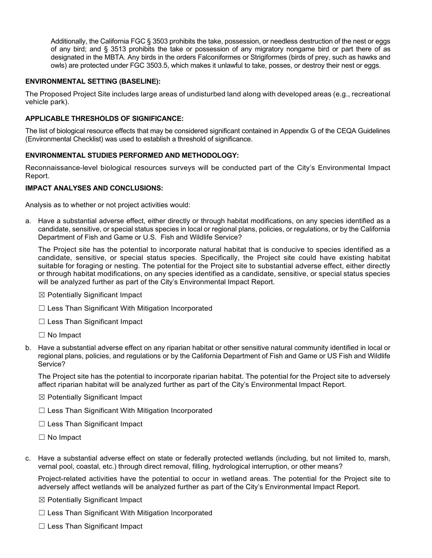Additionally, the California FGC § 3503 prohibits the take, possession, or needless destruction of the nest or eggs of any bird; and § 3513 prohibits the take or possession of any migratory nongame bird or part there of as designated in the MBTA. Any birds in the orders Falconiformes or Strigiformes (birds of prey, such as hawks and owls) are protected under FGC 3503.5, which makes it unlawful to take, posses, or destroy their nest or eggs.

### **ENVIRONMENTAL SETTING (BASELINE):**

The Proposed Project Site includes large areas of undisturbed land along with developed areas (e.g., recreational vehicle park).

### **APPLICABLE THRESHOLDS OF SIGNIFICANCE:**

The list of biological resource effects that may be considered significant contained in Appendix G of the CEQA Guidelines (Environmental Checklist) was used to establish a threshold of significance.

### **ENVIRONMENTAL STUDIES PERFORMED AND METHODOLOGY:**

Reconnaissance-level biological resources surveys will be conducted part of the City's Environmental Impact Report.

#### **IMPACT ANALYSES AND CONCLUSIONS:**

Analysis as to whether or not project activities would:

a. Have a substantial adverse effect, either directly or through habitat modifications, on any species identified as a candidate, sensitive, or special status species in local or regional plans, policies, or regulations, or by the California Department of Fish and Game or U.S. Fish and Wildlife Service?

The Project site has the potential to incorporate natural habitat that is conducive to species identified as a candidate, sensitive, or special status species. Specifically, the Project site could have existing habitat suitable for foraging or nesting. The potential for the Project site to substantial adverse effect, either directly or through habitat modifications, on any species identified as a candidate, sensitive, or special status species will be analyzed further as part of the City's Environmental Impact Report.

- $\boxtimes$  Potentially Significant Impact
- $\Box$  Less Than Significant With Mitigation Incorporated
- ☐ Less Than Significant Impact
- ☐ No Impact
- b. Have a substantial adverse effect on any riparian habitat or other sensitive natural community identified in local or regional plans, policies, and regulations or by the California Department of Fish and Game or US Fish and Wildlife Service?

The Project site has the potential to incorporate riparian habitat. The potential for the Project site to adversely affect riparian habitat will be analyzed further as part of the City's Environmental Impact Report.

- $\boxtimes$  Potentially Significant Impact
- ☐ Less Than Significant With Mitigation Incorporated
- $\Box$  Less Than Significant Impact
- ☐ No Impact
- c. Have a substantial adverse effect on state or federally protected wetlands (including, but not limited to, marsh, vernal pool, coastal, etc.) through direct removal, filling, hydrological interruption, or other means?

Project-related activities have the potential to occur in wetland areas. The potential for the Project site to adversely affect wetlands will be analyzed further as part of the City's Environmental Impact Report.

- ☒ Potentially Significant Impact
- $\Box$  Less Than Significant With Mitigation Incorporated
- ☐ Less Than Significant Impact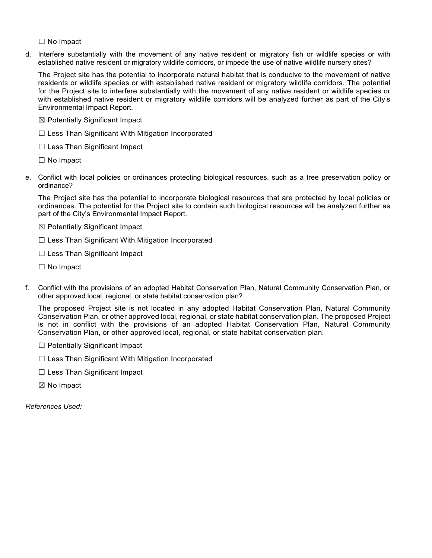#### ☐ No Impact

d. Interfere substantially with the movement of any native resident or migratory fish or wildlife species or with established native resident or migratory wildlife corridors, or impede the use of native wildlife nursery sites?

The Project site has the potential to incorporate natural habitat that is conducive to the movement of native residents or wildlife species or with established native resident or migratory wildlife corridors. The potential for the Project site to interfere substantially with the movement of any native resident or wildlife species or with established native resident or migratory wildlife corridors will be analyzed further as part of the City's Environmental Impact Report.

- ☒ Potentially Significant Impact
- ☐ Less Than Significant With Mitigation Incorporated
- ☐ Less Than Significant Impact
- ☐ No Impact
- e. Conflict with local policies or ordinances protecting biological resources, such as a tree preservation policy or ordinance?

The Project site has the potential to incorporate biological resources that are protected by local policies or ordinances. The potential for the Project site to contain such biological resources will be analyzed further as part of the City's Environmental Impact Report.

- $\boxtimes$  Potentially Significant Impact
- ☐ Less Than Significant With Mitigation Incorporated
- ☐ Less Than Significant Impact
- ☐ No Impact
- f. Conflict with the provisions of an adopted Habitat Conservation Plan, Natural Community Conservation Plan, or other approved local, regional, or state habitat conservation plan?

The proposed Project site is not located in any adopted Habitat Conservation Plan, Natural Community Conservation Plan, or other approved local, regional, or state habitat conservation plan. The proposed Project is not in conflict with the provisions of an adopted Habitat Conservation Plan, Natural Community Conservation Plan, or other approved local, regional, or state habitat conservation plan.

- ☐ Potentially Significant Impact
- $\Box$  Less Than Significant With Mitigation Incorporated
- ☐ Less Than Significant Impact
- <span id="page-16-0"></span>☒ No Impact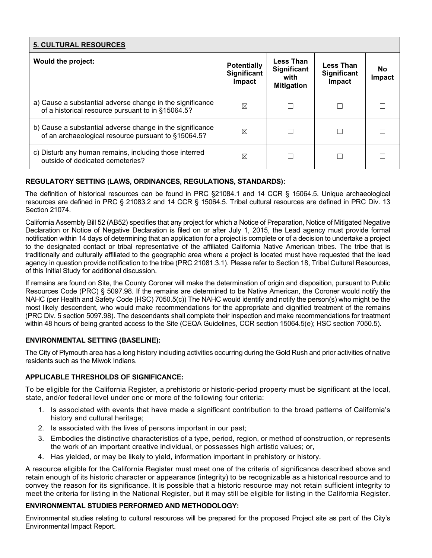<span id="page-17-0"></span>

| <b>5. CULTURAL RESOURCES</b>                                                                                     |                                                    |                                                              |                                                  |               |  |
|------------------------------------------------------------------------------------------------------------------|----------------------------------------------------|--------------------------------------------------------------|--------------------------------------------------|---------------|--|
| <b>Would the project:</b>                                                                                        | <b>Potentially</b><br><b>Significant</b><br>Impact | <b>Less Than</b><br>Significant<br>with<br><b>Mitigation</b> | <b>Less Than</b><br><b>Significant</b><br>Impact | No.<br>Impact |  |
| a) Cause a substantial adverse change in the significance<br>of a historical resource pursuant to in §15064.5?   | ⊠                                                  |                                                              |                                                  |               |  |
| b) Cause a substantial adverse change in the significance<br>of an archaeological resource pursuant to §15064.5? | ⊠                                                  |                                                              |                                                  |               |  |
| c) Disturb any human remains, including those interred<br>outside of dedicated cemeteries?                       | ⊠                                                  |                                                              |                                                  |               |  |

The definition of historical resources can be found in PRC §21084.1 and 14 CCR § 15064.5. Unique archaeological resources are defined in PRC § 21083.2 and 14 CCR § 15064.5. Tribal cultural resources are defined in PRC Div. 13 Section 21074.

California Assembly Bill 52 (AB52) specifies that any project for which a Notice of Preparation, Notice of Mitigated Negative Declaration or Notice of Negative Declaration is filed on or after July 1, 2015, the Lead agency must provide formal notification within 14 days of determining that an application for a project is complete or of a decision to undertake a project to the designated contact or tribal representative of the affiliated California Native American tribes. The tribe that is traditionally and culturally affiliated to the geographic area where a project is located must have requested that the lead agency in question provide notification to the tribe (PRC 21081.3.1). Please refer to Section 18, Tribal Cultural Resources, of this Initial Study for additional discussion.

If remains are found on Site, the County Coroner will make the determination of origin and disposition, pursuant to Public Resources Code (PRC) § 5097.98. If the remains are determined to be Native American, the Coroner would notify the NAHC (per Health and Safety Code (HSC) 7050.5(c)) The NAHC would identify and notify the person(s) who might be the most likely descendent, who would make recommendations for the appropriate and dignified treatment of the remains (PRC Div. 5 section 5097.98). The descendants shall complete their inspection and make recommendations for treatment within 48 hours of being granted access to the Site (CEQA Guidelines, CCR section 15064.5(e); HSC section 7050.5).

# **ENVIRONMENTAL SETTING (BASELINE):**

The City of Plymouth area has a long history including activities occurring during the Gold Rush and prior activities of native residents such as the Miwok Indians.

# **APPLICABLE THRESHOLDS OF SIGNIFICANCE:**

To be eligible for the California Register, a prehistoric or historic-period property must be significant at the local, state, and/or federal level under one or more of the following four criteria:

- 1. Is associated with events that have made a significant contribution to the broad patterns of California's history and cultural heritage;
- 2. Is associated with the lives of persons important in our past;
- 3. Embodies the distinctive characteristics of a type, period, region, or method of construction, or represents the work of an important creative individual, or possesses high artistic values; or,
- 4. Has yielded, or may be likely to yield, information important in prehistory or history.

A resource eligible for the California Register must meet one of the criteria of significance described above and retain enough of its historic character or appearance (integrity) to be recognizable as a historical resource and to convey the reason for its significance. It is possible that a historic resource may not retain sufficient integrity to meet the criteria for listing in the National Register, but it may still be eligible for listing in the California Register.

# **ENVIRONMENTAL STUDIES PERFORMED AND METHODOLOGY:**

Environmental studies relating to cultural resources will be prepared for the proposed Project site as part of the City's Environmental Impact Report.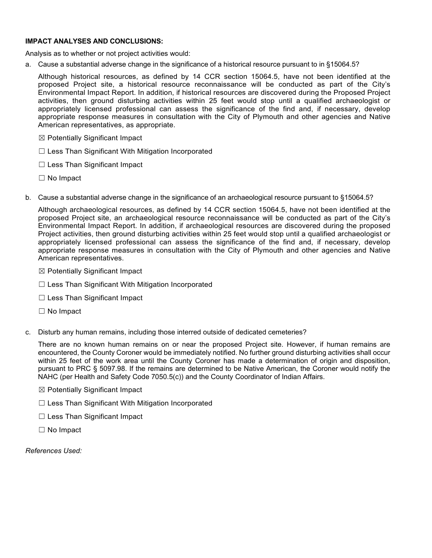#### **IMPACT ANALYSES AND CONCLUSIONS:**

Analysis as to whether or not project activities would:

a. Cause a substantial adverse change in the significance of a historical resource pursuant to in §15064.5?

Although historical resources, as defined by 14 CCR section 15064.5, have not been identified at the proposed Project site, a historical resource reconnaissance will be conducted as part of the City's Environmental Impact Report. In addition, if historical resources are discovered during the Proposed Project activities, then ground disturbing activities within 25 feet would stop until a qualified archaeologist or appropriately licensed professional can assess the significance of the find and, if necessary, develop appropriate response measures in consultation with the City of Plymouth and other agencies and Native American representatives, as appropriate.

- ☒ Potentially Significant Impact
- ☐ Less Than Significant With Mitigation Incorporated
- $\Box$  Less Than Significant Impact
- ☐ No Impact
- b. Cause a substantial adverse change in the significance of an archaeological resource pursuant to §15064.5?

Although archaeological resources, as defined by 14 CCR section 15064.5, have not been identified at the proposed Project site, an archaeological resource reconnaissance will be conducted as part of the City's Environmental Impact Report. In addition, if archaeological resources are discovered during the proposed Project activities, then ground disturbing activities within 25 feet would stop until a qualified archaeologist or appropriately licensed professional can assess the significance of the find and, if necessary, develop appropriate response measures in consultation with the City of Plymouth and other agencies and Native American representatives.

- ☒ Potentially Significant Impact
- $\Box$  Less Than Significant With Mitigation Incorporated
- ☐ Less Than Significant Impact
- ☐ No Impact
- c. Disturb any human remains, including those interred outside of dedicated cemeteries?

There are no known human remains on or near the proposed Project site. However, if human remains are encountered, the County Coroner would be immediately notified. No further ground disturbing activities shall occur within 25 feet of the work area until the County Coroner has made a determination of origin and disposition, pursuant to PRC § 5097.98. If the remains are determined to be Native American, the Coroner would notify the NAHC (per Health and Safety Code 7050.5(c)) and the County Coordinator of Indian Affairs.

- $\boxtimes$  Potentially Significant Impact
- ☐ Less Than Significant With Mitigation Incorporated
- $\Box$  Less Than Significant Impact
- <span id="page-18-0"></span>☐ No Impact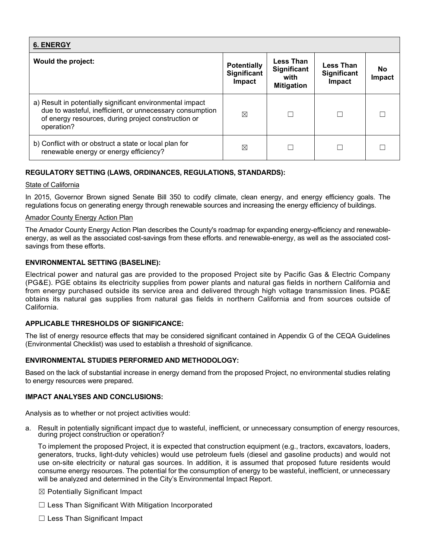<span id="page-19-0"></span>

| <b>6. ENERGY</b>                                                                                                                                                                           |                                                    |                                                                     |                                           |               |  |
|--------------------------------------------------------------------------------------------------------------------------------------------------------------------------------------------|----------------------------------------------------|---------------------------------------------------------------------|-------------------------------------------|---------------|--|
| <b>Would the project:</b>                                                                                                                                                                  | <b>Potentially</b><br><b>Significant</b><br>Impact | <b>Less Than</b><br><b>Significant</b><br>with<br><b>Mitigation</b> | Less Than<br><b>Significant</b><br>Impact | No.<br>Impact |  |
| a) Result in potentially significant environmental impact<br>due to wasteful, inefficient, or unnecessary consumption<br>of energy resources, during project construction or<br>operation? | $\boxtimes$                                        |                                                                     |                                           |               |  |
| b) Conflict with or obstruct a state or local plan for<br>renewable energy or energy efficiency?                                                                                           | ⊠                                                  |                                                                     |                                           |               |  |

### State of California

In 2015, Governor Brown signed Senate Bill 350 to codify climate, clean energy, and energy efficiency goals. The regulations focus on generating energy through renewable sources and increasing the energy efficiency of buildings.

### Amador County Energy Action Plan

The Amador County Energy Action Plan describes the County's roadmap for expanding energy-efficiency and renewableenergy, as well as the associated cost-savings from these efforts. and renewable-energy, as well as the associated costsavings from these efforts.

### **ENVIRONMENTAL SETTING (BASELINE):**

Electrical power and natural gas are provided to the proposed Project site by Pacific Gas & Electric Company (PG&E). PGE obtains its electricity supplies from power plants and natural gas fields in northern California and from energy purchased outside its service area and delivered through high voltage transmission lines. PG&E obtains its natural gas supplies from natural gas fields in northern California and from sources outside of California.

# **APPLICABLE THRESHOLDS OF SIGNIFICANCE:**

The list of energy resource effects that may be considered significant contained in Appendix G of the CEQA Guidelines (Environmental Checklist) was used to establish a threshold of significance.

# **ENVIRONMENTAL STUDIES PERFORMED AND METHODOLOGY:**

Based on the lack of substantial increase in energy demand from the proposed Project, no environmental studies relating to energy resources were prepared.

#### **IMPACT ANALYSES AND CONCLUSIONS:**

Analysis as to whether or not project activities would:

a. Result in potentially significant impact due to wasteful, inefficient, or unnecessary consumption of energy resources, during project construction or operation?

To implement the proposed Project, it is expected that construction equipment (e.g., tractors, excavators, loaders, generators, trucks, light-duty vehicles) would use petroleum fuels (diesel and gasoline products) and would not use on-site electricity or natural gas sources. In addition, it is assumed that proposed future residents would consume energy resources. The potential for the consumption of energy to be wasteful, inefficient, or unnecessary will be analyzed and determined in the City's Environmental Impact Report.

- ☒ Potentially Significant Impact
- ☐ Less Than Significant With Mitigation Incorporated
- $\Box$  Less Than Significant Impact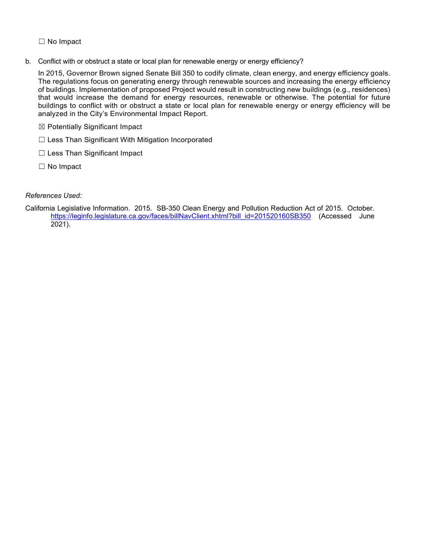## ☐ No Impact

b. Conflict with or obstruct a state or local plan for renewable energy or energy efficiency?

In 2015, Governor Brown signed Senate Bill 350 to codify climate, clean energy, and energy efficiency goals. The regulations focus on generating energy through renewable sources and increasing the energy efficiency of buildings. Implementation of proposed Project would result in constructing new buildings (e.g., residences) that would increase the demand for energy resources, renewable or otherwise. The potential for future buildings to conflict with or obstruct a state or local plan for renewable energy or energy efficiency will be analyzed in the City's Environmental Impact Report.

- ☒ Potentially Significant Impact
- ☐ Less Than Significant With Mitigation Incorporated
- ☐ Less Than Significant Impact
- ☐ No Impact

### *References Used:*

<span id="page-20-0"></span>California Legislative Information. 2015. SB-350 Clean Energy and Pollution Reduction Act of 2015. October. [https://leginfo.legislature.ca.gov/faces/billNavClient.xhtml?bill\\_id=201520160SB350](https://leginfo.legislature.ca.gov/faces/billNavClient.xhtml?bill_id=201520160SB350) (Accessed June 2021).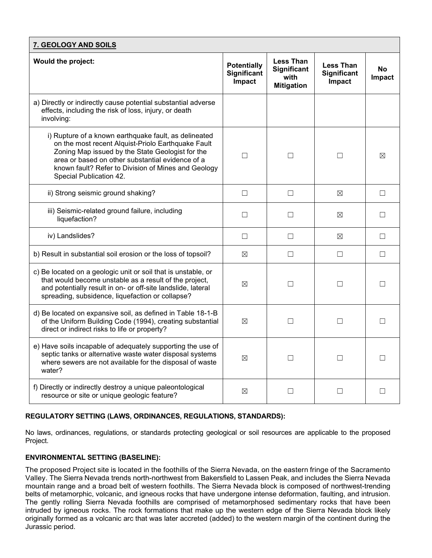<span id="page-21-0"></span>

| 7. GEOLOGY AND SOILS                                                                                                                                                                                                                                                                                  |                                             |                                                                     |                                                  |              |  |
|-------------------------------------------------------------------------------------------------------------------------------------------------------------------------------------------------------------------------------------------------------------------------------------------------------|---------------------------------------------|---------------------------------------------------------------------|--------------------------------------------------|--------------|--|
| Would the project:                                                                                                                                                                                                                                                                                    | <b>Potentially</b><br>Significant<br>Impact | <b>Less Than</b><br><b>Significant</b><br>with<br><b>Mitigation</b> | <b>Less Than</b><br><b>Significant</b><br>Impact | No<br>Impact |  |
| a) Directly or indirectly cause potential substantial adverse<br>effects, including the risk of loss, injury, or death<br>involving:                                                                                                                                                                  |                                             |                                                                     |                                                  |              |  |
| i) Rupture of a known earthquake fault, as delineated<br>on the most recent Alquist-Priolo Earthquake Fault<br>Zoning Map issued by the State Geologist for the<br>area or based on other substantial evidence of a<br>known fault? Refer to Division of Mines and Geology<br>Special Publication 42. | П                                           | $\Box$                                                              | П                                                | ⊠            |  |
| ii) Strong seismic ground shaking?                                                                                                                                                                                                                                                                    | $\Box$                                      | $\Box$                                                              | $\boxtimes$                                      | $\Box$       |  |
| iii) Seismic-related ground failure, including<br>liquefaction?                                                                                                                                                                                                                                       | $\Box$                                      | $\Box$                                                              | ⊠                                                | $\Box$       |  |
| iv) Landslides?                                                                                                                                                                                                                                                                                       | $\Box$                                      | $\Box$                                                              | ⊠                                                | П            |  |
| b) Result in substantial soil erosion or the loss of topsoil?                                                                                                                                                                                                                                         | $\boxtimes$                                 | $\Box$                                                              | $\Box$                                           | $\Box$       |  |
| c) Be located on a geologic unit or soil that is unstable, or<br>that would become unstable as a result of the project,<br>and potentially result in on- or off-site landslide, lateral<br>spreading, subsidence, liquefaction or collapse?                                                           | X                                           | □                                                                   | $\Box$                                           |              |  |
| d) Be located on expansive soil, as defined in Table 18-1-B<br>of the Uniform Building Code (1994), creating substantial<br>direct or indirect risks to life or property?                                                                                                                             | $\boxtimes$                                 | □                                                                   | $\Box$                                           | П            |  |
| e) Have soils incapable of adequately supporting the use of<br>septic tanks or alternative waste water disposal systems<br>where sewers are not available for the disposal of waste<br>water?                                                                                                         | $\boxtimes$                                 | $\Box$                                                              | □                                                |              |  |
| f) Directly or indirectly destroy a unique paleontological<br>resource or site or unique geologic feature?                                                                                                                                                                                            | $\boxtimes$                                 | $\Box$                                                              | $\Box$                                           | $\Box$       |  |

No laws, ordinances, regulations, or standards protecting geological or soil resources are applicable to the proposed Project.

# **ENVIRONMENTAL SETTING (BASELINE):**

The proposed Project site is located in the foothills of the Sierra Nevada, on the eastern fringe of the Sacramento Valley. The Sierra Nevada trends north-northwest from Bakersfield to Lassen Peak, and includes the Sierra Nevada mountain range and a broad belt of western foothills. The Sierra Nevada block is composed of northwest-trending belts of metamorphic, volcanic, and igneous rocks that have undergone intense deformation, faulting, and intrusion. The gently rolling Sierra Nevada foothills are comprised of metamorphosed sedimentary rocks that have been intruded by igneous rocks. The rock formations that make up the western edge of the Sierra Nevada block likely originally formed as a volcanic arc that was later accreted (added) to the western margin of the continent during the Jurassic period.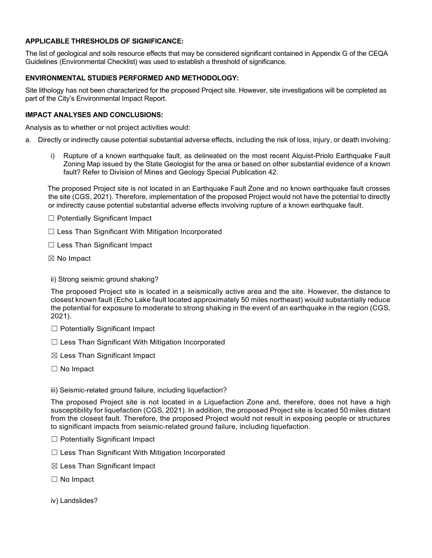### **APPLICABLE THRESHOLDS OF SIGNIFICANCE:**

The list of geological and soils resource effects that may be considered significant contained in Appendix G of the CEQA Guidelines (Environmental Checklist) was used to establish a threshold of significance.

# **ENVIRONMENTAL STUDIES PERFORMED AND METHODOLOGY:**

Site lithology has not been characterized for the proposed Project site. However, site investigations will be completed as part of the City's Environmental Impact Report.

#### **IMPACT ANALYSES AND CONCLUSIONS:**

Analysis as to whether or not project activities would:

- a. Directly or indirectly cause potential substantial adverse effects, including the risk of loss, injury, or death involving:
	- i) Rupture of a known earthquake fault, as delineated on the most recent Alquist-Priolo Earthquake Fault Zoning Map issued by the State Geologist for the area or based on other substantial evidence of a known fault? Refer to Division of Mines and Geology Special Publication 42.

The proposed Project site is not located in an Earthquake Fault Zone and no known earthquake fault crosses the site (CGS, 2021). Therefore, implementation of the proposed Project would not have the potential to directly or indirectly cause potential substantial adverse effects involving rupture of a known earthquake fault.

- ☐ Potentially Significant Impact
- ☐ Less Than Significant With Mitigation Incorporated
- ☐ Less Than Significant Impact
- ☒ No Impact
- ii) Strong seismic ground shaking?

The proposed Project site is located in a seismically active area and the site. However, the distance to closest known fault (Echo Lake fault located approximately 50 miles northeast) would substantially reduce the potential for exposure to moderate to strong shaking in the event of an earthquake in the region (CGS, 2021).

- ☐ Potentially Significant Impact
- ☐ Less Than Significant With Mitigation Incorporated
- ☒ Less Than Significant Impact
- ☐ No Impact
- iii) Seismic-related ground failure, including liquefaction?

The proposed Project site is not located in a Liquefaction Zone and, therefore, does not have a high susceptibility for liquefaction (CGS, 2021). In addition, the proposed Project site is located 50 miles distant from the closest fault. Therefore, the proposed Project would not result in exposing people or structures to significant impacts from seismic-related ground failure, including liquefaction.

- ☐ Potentially Significant Impact
- ☐ Less Than Significant With Mitigation Incorporated
- ☒ Less Than Significant Impact
- ☐ No Impact
- iv) Landslides?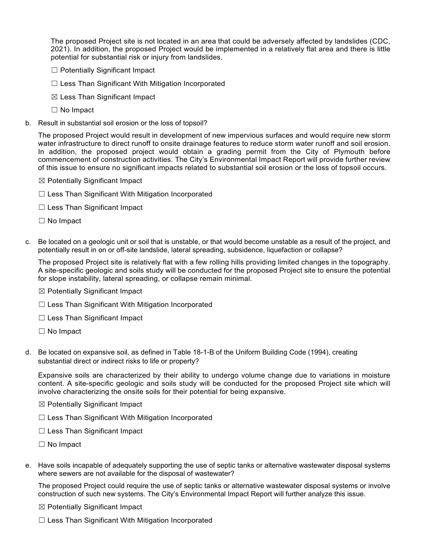The proposed Project site is not located in an area that could be adversely affected by landslides (CDC, 2021). In addition, the proposed Project would be implemented in a relatively flat area and there is little potential for substantial risk or injury from landslides.

- ☐ Potentially Significant Impact
- $\Box$  Less Than Significant With Mitigation Incorporated
- ☒ Less Than Significant Impact
- ☐ No Impact
- b. Result in substantial soil erosion or the loss of topsoil?

The proposed Project would result in development of new impervious surfaces and would require new storm water infrastructure to direct runoff to onsite drainage features to reduce storm water runoff and soil erosion. In addition, the proposed project would obtain a grading permit from the City of Plymouth before commencement of construction activities. The City's Environmental Impact Report will provide further review of this issue to ensure no significant impacts related to substantial soil erosion or the loss of topsoil occurs.

- ☒ Potentially Significant Impact
- ☐ Less Than Significant With Mitigation Incorporated
- $\Box$  Less Than Significant Impact
- ☐ No Impact
- c. Be located on a geologic unit or soil that is unstable, or that would become unstable as a result of the project, and potentially result in on or off-site landslide, lateral spreading, subsidence, liquefaction or collapse?

The proposed Project site is relatively flat with a few rolling hills providing limited changes in the topography. A site-specific geologic and soils study will be conducted for the proposed Project site to ensure the potential for slope instability, lateral spreading, or collapse remain minimal.

- ☒ Potentially Significant Impact
- $\Box$  Less Than Significant With Mitigation Incorporated
- ☐ Less Than Significant Impact
- ☐ No Impact
- d. Be located on expansive soil, as defined in Table 18-1-B of the Uniform Building Code (1994), creating substantial direct or indirect risks to life or property?

Expansive soils are characterized by their ability to undergo volume change due to variations in moisture content. A site-specific geologic and soils study will be conducted for the proposed Project site which will involve characterizing the onsite soils for their potential for being expansive.

- ☒ Potentially Significant Impact
- ☐ Less Than Significant With Mitigation Incorporated
- $\Box$  Less Than Significant Impact
- ☐ No Impact
- e. Have soils incapable of adequately supporting the use of septic tanks or alternative wastewater disposal systems where sewers are not available for the disposal of wastewater?

The proposed Project could require the use of septic tanks or alternative wastewater disposal systems or involve construction of such new systems. The City's Environmental Impact Report will further analyze this issue.

- ☒ Potentially Significant Impact
- ☐ Less Than Significant With Mitigation Incorporated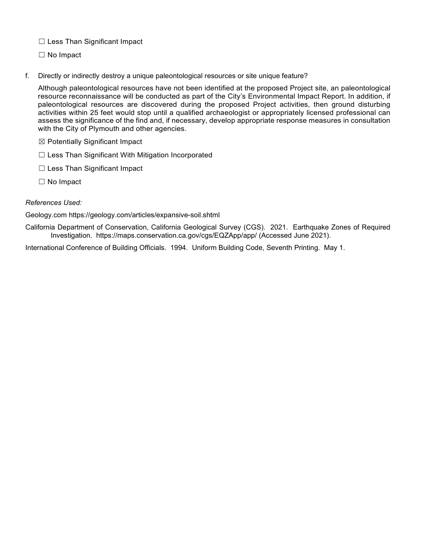- ☐ Less Than Significant Impact
- ☐ No Impact
- f. Directly or indirectly destroy a unique paleontological resources or site unique feature?

Although paleontological resources have not been identified at the proposed Project site, an paleontological resource reconnaissance will be conducted as part of the City's Environmental Impact Report. In addition, if paleontological resources are discovered during the proposed Project activities, then ground disturbing activities within 25 feet would stop until a qualified archaeologist or appropriately licensed professional can assess the significance of the find and, if necessary, develop appropriate response measures in consultation with the City of Plymouth and other agencies.

- ☒ Potentially Significant Impact
- ☐ Less Than Significant With Mitigation Incorporated
- ☐ Less Than Significant Impact
- ☐ No Impact

# *References Used:*

# <span id="page-24-0"></span>Geology.com https://geology.com/articles/expansive-soil.shtml

California Department of Conservation, California Geological Survey (CGS). 2021. Earthquake Zones of Required Investigation. https://maps.conservation.ca.gov/cgs/EQZApp/app/ (Accessed June 2021).

International Conference of Building Officials. 1994. Uniform Building Code, Seventh Printing. May 1.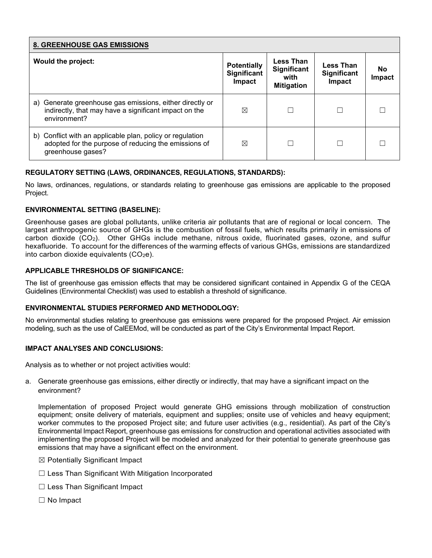<span id="page-25-0"></span>

| <b>8. GREENHOUSE GAS EMISSIONS</b>                                                                                                     |                                                    |                                                              |                                           |               |  |
|----------------------------------------------------------------------------------------------------------------------------------------|----------------------------------------------------|--------------------------------------------------------------|-------------------------------------------|---------------|--|
| <b>Would the project:</b>                                                                                                              | <b>Potentially</b><br><b>Significant</b><br>Impact | <b>Less Than</b><br>Significant<br>with<br><b>Mitigation</b> | Less Than<br><b>Significant</b><br>Impact | No.<br>Impact |  |
| a) Generate greenhouse gas emissions, either directly or<br>indirectly, that may have a significant impact on the<br>environment?      | ⊠                                                  |                                                              |                                           |               |  |
| b) Conflict with an applicable plan, policy or regulation<br>adopted for the purpose of reducing the emissions of<br>greenhouse gases? | ⊠                                                  |                                                              |                                           |               |  |

No laws, ordinances, regulations, or standards relating to greenhouse gas emissions are applicable to the proposed Project.

# **ENVIRONMENTAL SETTING (BASELINE):**

Greenhouse gases are global pollutants, unlike criteria air pollutants that are of regional or local concern. The largest anthropogenic source of GHGs is the combustion of fossil fuels, which results primarily in emissions of carbon dioxide (CO2). Other GHGs include methane, nitrous oxide, fluorinated gases, ozone, and sulfur hexafluoride. To account for the differences of the warming effects of various GHGs, emissions are standardized into carbon dioxide equivalents  $(CO<sub>2</sub>e)$ .

# **APPLICABLE THRESHOLDS OF SIGNIFICANCE:**

The list of greenhouse gas emission effects that may be considered significant contained in Appendix G of the CEQA Guidelines (Environmental Checklist) was used to establish a threshold of significance.

# **ENVIRONMENTAL STUDIES PERFORMED AND METHODOLOGY:**

No environmental studies relating to greenhouse gas emissions were prepared for the proposed Project. Air emission modeling, such as the use of CalEEMod, will be conducted as part of the City's Environmental Impact Report.

# **IMPACT ANALYSES AND CONCLUSIONS:**

Analysis as to whether or not project activities would:

a. Generate greenhouse gas emissions, either directly or indirectly, that may have a significant impact on the environment?

Implementation of proposed Project would generate GHG emissions through mobilization of construction equipment; onsite delivery of materials, equipment and supplies; onsite use of vehicles and heavy equipment; worker commutes to the proposed Project site; and future user activities (e.g., residential). As part of the City's Environmental Impact Report, greenhouse gas emissions for construction and operational activities associated with implementing the proposed Project will be modeled and analyzed for their potential to generate greenhouse gas emissions that may have a significant effect on the environment.

- $\boxtimes$  Potentially Significant Impact
- $\Box$  Less Than Significant With Mitigation Incorporated
- $\Box$  Less Than Significant Impact
- ☐ No Impact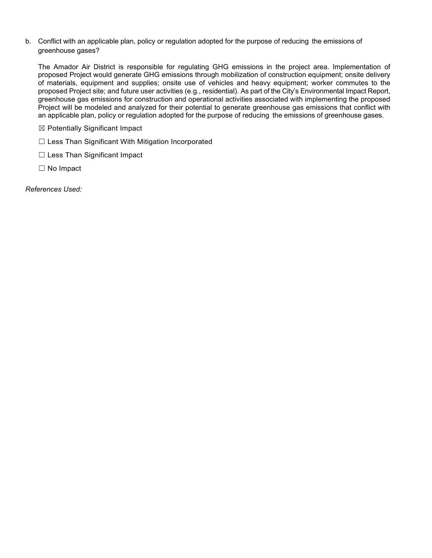b. Conflict with an applicable plan, policy or regulation adopted for the purpose of reducing the emissions of greenhouse gases?

The Amador Air District is responsible for regulating GHG emissions in the project area. Implementation of proposed Project would generate GHG emissions through mobilization of construction equipment; onsite delivery of materials, equipment and supplies; onsite use of vehicles and heavy equipment; worker commutes to the proposed Project site; and future user activities (e.g., residential). As part of the City's Environmental Impact Report, greenhouse gas emissions for construction and operational activities associated with implementing the proposed Project will be modeled and analyzed for their potential to generate greenhouse gas emissions that conflict with an applicable plan, policy or regulation adopted for the purpose of reducing the emissions of greenhouse gases.

- ☒ Potentially Significant Impact
- ☐ Less Than Significant With Mitigation Incorporated
- ☐ Less Than Significant Impact
- <span id="page-26-0"></span>☐ No Impact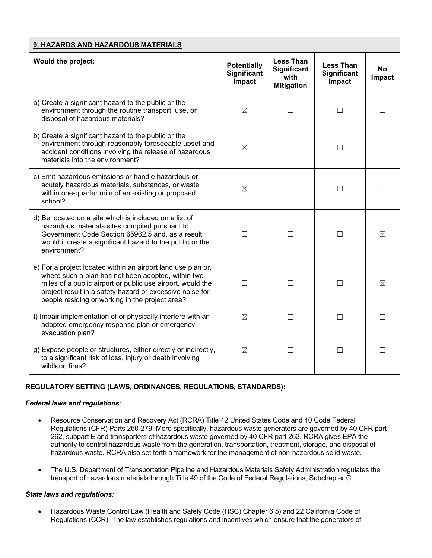<span id="page-27-0"></span>

| 9. HAZARDS AND HAZARDOUS MATERIALS                                                                                                                                                                                                                                                              |                                                    |                                                                     |                                           |              |
|-------------------------------------------------------------------------------------------------------------------------------------------------------------------------------------------------------------------------------------------------------------------------------------------------|----------------------------------------------------|---------------------------------------------------------------------|-------------------------------------------|--------------|
| <b>Would the project:</b>                                                                                                                                                                                                                                                                       | <b>Potentially</b><br><b>Significant</b><br>Impact | <b>Less Than</b><br><b>Significant</b><br>with<br><b>Mitigation</b> | <b>Less Than</b><br>Significant<br>Impact | No<br>Impact |
| a) Create a significant hazard to the public or the<br>environment through the routine transport, use, or<br>disposal of hazardous materials?                                                                                                                                                   | ⊠                                                  | $\Box$                                                              | П                                         | $\Box$       |
| b) Create a significant hazard to the public or the<br>environment through reasonably foreseeable upset and<br>accident conditions involving the release of hazardous<br>materials into the environment?                                                                                        | ⊠                                                  | П                                                                   | П                                         |              |
| c) Emit hazardous emissions or handle hazardous or<br>acutely hazardous materials, substances, or waste<br>within one-quarter mile of an existing or proposed<br>school?                                                                                                                        | $\boxtimes$                                        | $\Box$                                                              | $\perp$                                   |              |
| d) Be located on a site which is included on a list of<br>hazardous materials sites compiled pursuant to<br>Government Code Section 65962.5 and, as a result,<br>would it create a significant hazard to the public or the<br>environment?                                                      | П                                                  | П                                                                   | П                                         | ⊠            |
| e) For a project located within an airport land use plan or,<br>where such a plan has not been adopted, within two<br>miles of a public airport or public use airport, would the<br>project result in a safety hazard or excessive noise for<br>people residing or working in the project area? | П                                                  | П                                                                   | П                                         | ⊠            |
| f) Impair implementation of or physically interfere with an<br>adopted emergency response plan or emergency<br>evacuation plan?                                                                                                                                                                 | ⊠                                                  | П                                                                   | П                                         |              |
| g) Expose people or structures, either directly or indirectly,<br>to a significant risk of loss, injury or death involving<br>wildland fires?                                                                                                                                                   | $\boxtimes$                                        | $\Box$                                                              | $\Box$                                    | П            |

# *Federal laws and regulations*:

- Resource Conservation and Recovery Act (RCRA) Title 42 United States Code and 40 Code Federal Regulations (CFR) Parts 260-279. More specifically, hazardous waste generators are governed by 40 CFR part 262, subpart E and transporters of hazardous waste governed by 40 CFR part 263. RCRA gives EPA the authority to control hazardous waste from the generation, transportation, treatment, storage, and disposal of hazardous waste. RCRA also set forth a framework for the management of non-hazardous solid waste.
- The U.S. Department of Transportation Pipeline and Hazardous Materials Safety Administration regulates the transport of hazardous materials through Title 49 of the Code of Federal Regulations, Subchapter C.

# *State laws and regulations:*

• Hazardous Waste Control Law (Health and Safety Code (HSC) Chapter 6.5) and 22 California Code of Regulations (CCR). The law establishes regulations and incentives which ensure that the generators of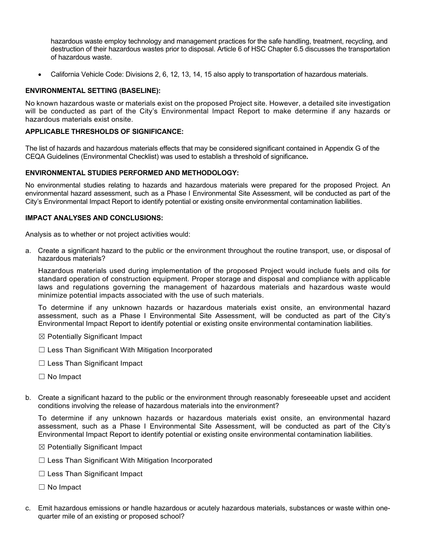hazardous waste employ technology and management practices for the safe handling, treatment, recycling, and destruction of their hazardous wastes prior to disposal. Article 6 of HSC Chapter 6.5 discusses the transportation of hazardous waste.

• California Vehicle Code: Divisions 2, 6, 12, 13, 14, 15 also apply to transportation of hazardous materials.

## **ENVIRONMENTAL SETTING (BASELINE):**

No known hazardous waste or materials exist on the proposed Project site. However, a detailed site investigation will be conducted as part of the City's Environmental Impact Report to make determine if any hazards or hazardous materials exist onsite.

### **APPLICABLE THRESHOLDS OF SIGNIFICANCE:**

The list of hazards and hazardous materials effects that may be considered significant contained in Appendix G of the CEQA Guidelines (Environmental Checklist) was used to establish a threshold of significance**.** 

#### **ENVIRONMENTAL STUDIES PERFORMED AND METHODOLOGY:**

No environmental studies relating to hazards and hazardous materials were prepared for the proposed Project. An environmental hazard assessment, such as a Phase I Environmental Site Assessment, will be conducted as part of the City's Environmental Impact Report to identify potential or existing onsite environmental contamination liabilities.

#### **IMPACT ANALYSES AND CONCLUSIONS:**

Analysis as to whether or not project activities would:

a. Create a significant hazard to the public or the environment throughout the routine transport, use, or disposal of hazardous materials?

Hazardous materials used during implementation of the proposed Project would include fuels and oils for standard operation of construction equipment. Proper storage and disposal and compliance with applicable laws and regulations governing the management of hazardous materials and hazardous waste would minimize potential impacts associated with the use of such materials.

To determine if any unknown hazards or hazardous materials exist onsite, an environmental hazard assessment, such as a Phase I Environmental Site Assessment, will be conducted as part of the City's Environmental Impact Report to identify potential or existing onsite environmental contamination liabilities.

- ☒ Potentially Significant Impact
- ☐ Less Than Significant With Mitigation Incorporated
- $\Box$  Less Than Significant Impact
- ☐ No Impact
- b. Create a significant hazard to the public or the environment through reasonably foreseeable upset and accident conditions involving the release of hazardous materials into the environment?

To determine if any unknown hazards or hazardous materials exist onsite, an environmental hazard assessment, such as a Phase I Environmental Site Assessment, will be conducted as part of the City's Environmental Impact Report to identify potential or existing onsite environmental contamination liabilities.

- ☒ Potentially Significant Impact
- ☐ Less Than Significant With Mitigation Incorporated
- $\Box$  Less Than Significant Impact
- ☐ No Impact
- c. Emit hazardous emissions or handle hazardous or acutely hazardous materials, substances or waste within onequarter mile of an existing or proposed school?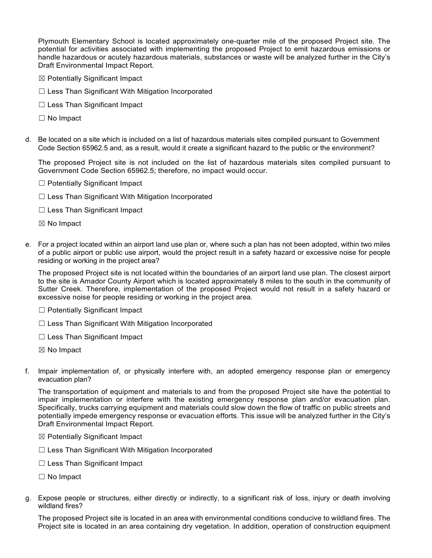Plymouth Elementary School is located approximately one-quarter mile of the proposed Project site. The potential for activities associated with implementing the proposed Project to emit hazardous emissions or handle hazardous or acutely hazardous materials, substances or waste will be analyzed further in the City's Draft Environmental Impact Report.

- ☒ Potentially Significant Impact
- ☐ Less Than Significant With Mitigation Incorporated
- ☐ Less Than Significant Impact
- ☐ No Impact
- d. Be located on a site which is included on a list of hazardous materials sites compiled pursuant to Government Code Section 65962.5 and, as a result, would it create a significant hazard to the public or the environment?

The proposed Project site is not included on the list of hazardous materials sites compiled pursuant to Government Code Section 65962.5; therefore, no impact would occur.

 $\Box$  Potentially Significant Impact

☐ Less Than Significant With Mitigation Incorporated

☐ Less Than Significant Impact

☒ No Impact

e. For a project located within an airport land use plan or, where such a plan has not been adopted, within two miles of a public airport or public use airport, would the project result in a safety hazard or excessive noise for people residing or working in the project area?

The proposed Project site is not located within the boundaries of an airport land use plan. The closest airport to the site is Amador County Airport which is located approximately 8 miles to the south in the community of Sutter Creek. Therefore, implementation of the proposed Project would not result in a safety hazard or excessive noise for people residing or working in the project area.

☐ Potentially Significant Impact

- $\Box$  Less Than Significant With Mitigation Incorporated
- $\Box$  Less Than Significant Impact
- ☒ No Impact
- f. Impair implementation of, or physically interfere with, an adopted emergency response plan or emergency evacuation plan?

The transportation of equipment and materials to and from the proposed Project site have the potential to impair implementation or interfere with the existing emergency response plan and/or evacuation plan. Specifically, trucks carrying equipment and materials could slow down the flow of traffic on public streets and potentially impede emergency response or evacuation efforts. This issue will be analyzed further in the City's Draft Environmental Impact Report.

- ☒ Potentially Significant Impact
- ☐ Less Than Significant With Mitigation Incorporated
- $\Box$  Less Than Significant Impact

☐ No Impact

g. Expose people or structures, either directly or indirectly, to a significant risk of loss, injury or death involving wildland fires?

The proposed Project site is located in an area with environmental conditions conducive to wildland fires. The Project site is located in an area containing dry vegetation. In addition, operation of construction equipment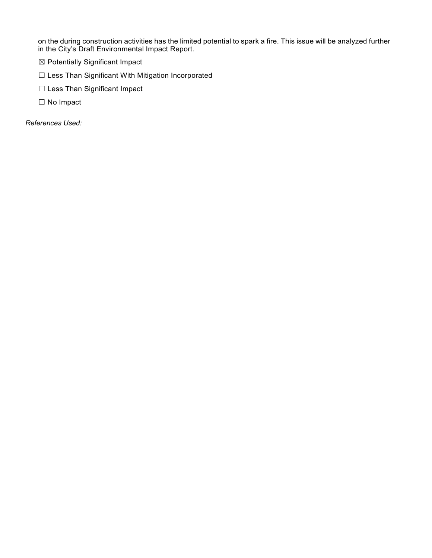on the during construction activities has the limited potential to spark a fire. This issue will be analyzed further in the City's Draft Environmental Impact Report.

☒ Potentially Significant Impact

☐ Less Than Significant With Mitigation Incorporated

☐ Less Than Significant Impact

<span id="page-30-0"></span>☐ No Impact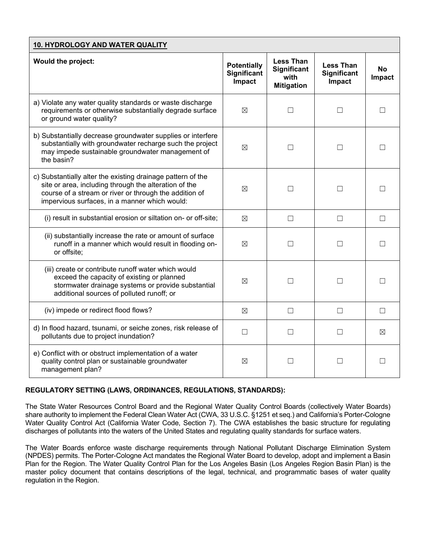<span id="page-31-0"></span>

| 10. HYDROLOGY AND WATER QUALITY                                                                                                                                                                                                 |                                             |                                                                     |                                           |               |
|---------------------------------------------------------------------------------------------------------------------------------------------------------------------------------------------------------------------------------|---------------------------------------------|---------------------------------------------------------------------|-------------------------------------------|---------------|
| Would the project:                                                                                                                                                                                                              | <b>Potentially</b><br>Significant<br>Impact | <b>Less Than</b><br><b>Significant</b><br>with<br><b>Mitigation</b> | <b>Less Than</b><br>Significant<br>Impact | No.<br>Impact |
| a) Violate any water quality standards or waste discharge<br>requirements or otherwise substantially degrade surface<br>or ground water quality?                                                                                | ⊠                                           | $\perp$                                                             | $\perp$                                   |               |
| b) Substantially decrease groundwater supplies or interfere<br>substantially with groundwater recharge such the project<br>may impede sustainable groundwater management of<br>the basin?                                       | $\boxtimes$                                 | П                                                                   | П                                         |               |
| c) Substantially alter the existing drainage pattern of the<br>site or area, including through the alteration of the<br>course of a stream or river or through the addition of<br>impervious surfaces, in a manner which would: | ⊠                                           | П                                                                   | П                                         | $\perp$       |
| (i) result in substantial erosion or siltation on- or off-site;                                                                                                                                                                 | $\boxtimes$                                 | $\Box$                                                              | $\Box$                                    | $\Box$        |
| (ii) substantially increase the rate or amount of surface<br>runoff in a manner which would result in flooding on-<br>or offsite;                                                                                               | ⊠                                           | П                                                                   | П                                         |               |
| (iii) create or contribute runoff water which would<br>exceed the capacity of existing or planned<br>stormwater drainage systems or provide substantial<br>additional sources of polluted runoff; or                            | ⊠                                           | П                                                                   | П                                         |               |
| (iv) impede or redirect flood flows?                                                                                                                                                                                            | $\boxtimes$                                 | П                                                                   | П                                         | П             |
| d) In flood hazard, tsunami, or seiche zones, risk release of<br>pollutants due to project inundation?                                                                                                                          | П                                           | $\Box$                                                              | □                                         | ⊠             |
| e) Conflict with or obstruct implementation of a water<br>quality control plan or sustainable groundwater<br>management plan?                                                                                                   | $\boxtimes$                                 | $\Box$                                                              | $\Box$                                    | П             |

The State Water Resources Control Board and the Regional Water Quality Control Boards (collectively Water Boards) share authority to implement the Federal Clean Water Act (CWA, 33 U.S.C. §1251 et seq.) and California's Porter-Cologne Water Quality Control Act (California Water Code, Section 7). The CWA establishes the basic structure for regulating discharges of pollutants into the waters of the United States and regulating quality standards for surface waters.

The Water Boards enforce waste discharge requirements through National Pollutant Discharge Elimination System (NPDES) permits. The Porter-Cologne Act mandates the Regional Water Board to develop, adopt and implement a Basin Plan for the Region. The Water Quality Control Plan for the Los Angeles Basin (Los Angeles Region Basin Plan) is the master policy document that contains descriptions of the legal, technical, and programmatic bases of water quality regulation in the Region.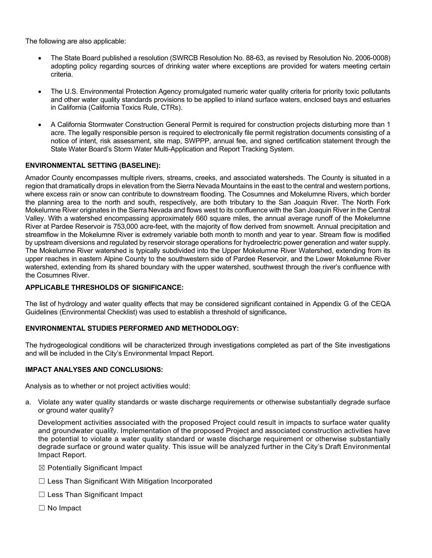The following are also applicable:

- The State Board published a resolution (SWRCB Resolution No. 88-63, as revised by Resolution No. 2006-0008) adopting policy regarding sources of drinking water where exceptions are provided for waters meeting certain criteria.
- The U.S. Environmental Protection Agency promulgated numeric water quality criteria for priority toxic pollutants and other water quality standards provisions to be applied to inland surface waters, enclosed bays and estuaries in California (California Toxics Rule, CTRs).
- A California Stormwater Construction General Permit is required for construction projects disturbing more than 1 acre. The legally responsible person is required to electronically file permit registration documents consisting of a notice of intent, risk assessment, site map, SWPPP, annual fee, and signed certification statement through the State Water Board's Storm Water Multi-Application and Report Tracking System.

### **ENVIRONMENTAL SETTING (BASELINE):**

Amador County encompasses multiple rivers, streams, creeks, and associated watersheds. The County is situated in a region that dramatically drops in elevation from the Sierra Nevada Mountains in the east to the central and western portions, where excess rain or snow can contribute to downstream flooding. The Cosumnes and Mokelumne Rivers, which border the planning area to the north and south, respectively, are both tributary to the San Joaquin River. The North Fork Mokelumne River originates in the Sierra Nevada and flows west to its confluence with the San Joaquin River in the Central Valley. With a watershed encompassing approximately 660 square miles, the annual average runoff of the Mokelumne River at Pardee Reservoir is 753,000 acre-feet, with the majority of flow derived from snowmelt. Annual precipitation and streamflow in the Mokelumne River is extremely variable both month to month and year to year. Stream flow is modified by upstream diversions and regulated by reservoir storage operations for hydroelectric power generation and water supply. The Mokelumne River watershed is typically subdivided into the Upper Mokelumne River Watershed, extending from its upper reaches in eastern Alpine County to the southwestern side of Pardee Reservoir, and the Lower Mokelumne River watershed, extending from its shared boundary with the upper watershed, southwest through the river's confluence with the Cosumnes River.

#### **APPLICABLE THRESHOLDS OF SIGNIFICANCE:**

The list of hydrology and water quality effects that may be considered significant contained in Appendix G of the CEQA Guidelines (Environmental Checklist) was used to establish a threshold of significance**.** 

#### **ENVIRONMENTAL STUDIES PERFORMED AND METHODOLOGY:**

The hydrogeological conditions will be characterized through investigations completed as part of the Site investigations and will be included in the City's Environmental Impact Report.

#### **IMPACT ANALYSES AND CONCLUSIONS:**

Analysis as to whether or not project activities would:

a. Violate any water quality standards or waste discharge requirements or otherwise substantially degrade surface or ground water quality?

Development activities associated with the proposed Project could result in impacts to surface water quality and groundwater quality. Implementation of the proposed Project and associated construction activities have the potential to violate a water quality standard or waste discharge requirement or otherwise substantially degrade surface or ground water quality. This issue will be analyzed further in the City's Draft Environmental Impact Report.

- ☒ Potentially Significant Impact
- $\Box$  Less Than Significant With Mitigation Incorporated
- $\Box$  Less Than Significant Impact
- ☐ No Impact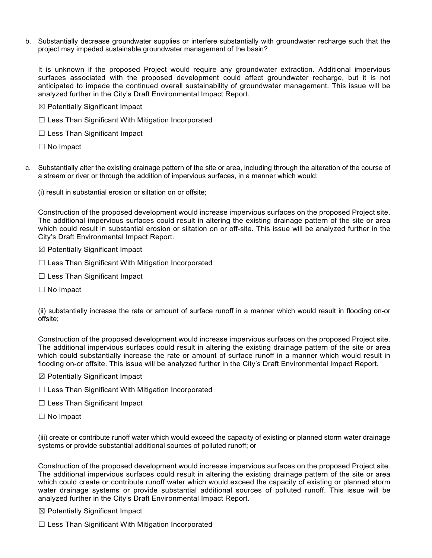b. Substantially decrease groundwater supplies or interfere substantially with groundwater recharge such that the project may impeded sustainable groundwater management of the basin?

It is unknown if the proposed Project would require any groundwater extraction. Additional impervious surfaces associated with the proposed development could affect groundwater recharge, but it is not anticipated to impede the continued overall sustainability of groundwater management. This issue will be analyzed further in the City's Draft Environmental Impact Report.

- $\boxtimes$  Potentially Significant Impact
- ☐ Less Than Significant With Mitigation Incorporated
- ☐ Less Than Significant Impact
- ☐ No Impact
- c. Substantially alter the existing drainage pattern of the site or area, including through the alteration of the course of a stream or river or through the addition of impervious surfaces, in a manner which would:
	- (i) result in substantial erosion or siltation on or offsite;

Construction of the proposed development would increase impervious surfaces on the proposed Project site. The additional impervious surfaces could result in altering the existing drainage pattern of the site or area which could result in substantial erosion or siltation on or off-site. This issue will be analyzed further in the City's Draft Environmental Impact Report.

- ☒ Potentially Significant Impact
- ☐ Less Than Significant With Mitigation Incorporated
- $\Box$  Less Than Significant Impact
- ☐ No Impact

(ii) substantially increase the rate or amount of surface runoff in a manner which would result in flooding on-or offsite;

Construction of the proposed development would increase impervious surfaces on the proposed Project site. The additional impervious surfaces could result in altering the existing drainage pattern of the site or area which could substantially increase the rate or amount of surface runoff in a manner which would result in flooding on-or offsite. This issue will be analyzed further in the City's Draft Environmental Impact Report.

- ☒ Potentially Significant Impact
- ☐ Less Than Significant With Mitigation Incorporated
- ☐ Less Than Significant Impact
- ☐ No Impact

(iii) create or contribute runoff water which would exceed the capacity of existing or planned storm water drainage systems or provide substantial additional sources of polluted runoff; or

Construction of the proposed development would increase impervious surfaces on the proposed Project site. The additional impervious surfaces could result in altering the existing drainage pattern of the site or area which could create or contribute runoff water which would exceed the capacity of existing or planned storm water drainage systems or provide substantial additional sources of polluted runoff. This issue will be analyzed further in the City's Draft Environmental Impact Report.

- ☒ Potentially Significant Impact
- $\Box$  Less Than Significant With Mitigation Incorporated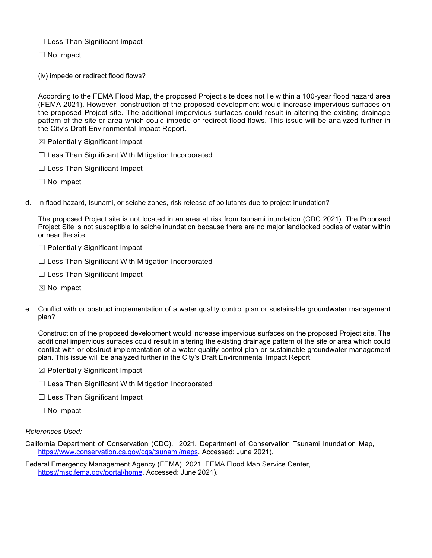- ☐ Less Than Significant Impact
- ☐ No Impact
- (iv) impede or redirect flood flows?

According to the FEMA Flood Map, the proposed Project site does not lie within a 100-year flood hazard area (FEMA 2021). However, construction of the proposed development would increase impervious surfaces on the proposed Project site. The additional impervious surfaces could result in altering the existing drainage pattern of the site or area which could impede or redirect flood flows. This issue will be analyzed further in the City's Draft Environmental Impact Report.

- ☒ Potentially Significant Impact
- ☐ Less Than Significant With Mitigation Incorporated
- $\Box$  Less Than Significant Impact
- ☐ No Impact
- d. In flood hazard, tsunami, or seiche zones, risk release of pollutants due to project inundation?

The proposed Project site is not located in an area at risk from tsunami inundation (CDC 2021). The Proposed Project Site is not susceptible to seiche inundation because there are no major landlocked bodies of water within or near the site.

- ☐ Potentially Significant Impact
- $\Box$  Less Than Significant With Mitigation Incorporated
- ☐ Less Than Significant Impact
- ☒ No Impact
- e. Conflict with or obstruct implementation of a water quality control plan or sustainable groundwater management plan?

Construction of the proposed development would increase impervious surfaces on the proposed Project site. The additional impervious surfaces could result in altering the existing drainage pattern of the site or area which could conflict with or obstruct implementation of a water quality control plan or sustainable groundwater management plan. This issue will be analyzed further in the City's Draft Environmental Impact Report.

- ☒ Potentially Significant Impact
- ☐ Less Than Significant With Mitigation Incorporated
- $\Box$  Less Than Significant Impact
- ☐ No Impact

#### *References Used:*

<span id="page-34-0"></span>California Department of Conservation (CDC). 2021. Department of Conservation Tsunami Inundation Map, [https://www.conservation.ca.gov/cgs/tsunami/maps.](https://www.conservation.ca.gov/cgs/tsunami/maps) Accessed: June 2021).

Federal Emergency Management Agency (FEMA). 2021. FEMA Flood Map Service Center, [https://msc.fema.gov/portal/home.](https://msc.fema.gov/portal/home) Accessed: June 2021).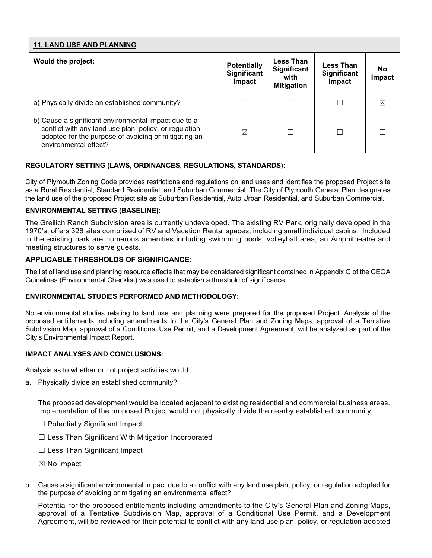<span id="page-35-0"></span>

| <b>11. LAND USE AND PLANNING</b>                                                                                                                                                                |                                             |                                                              |                                                  |                     |
|-------------------------------------------------------------------------------------------------------------------------------------------------------------------------------------------------|---------------------------------------------|--------------------------------------------------------------|--------------------------------------------------|---------------------|
| <b>Would the project:</b>                                                                                                                                                                       | <b>Potentially</b><br>Significant<br>Impact | Less Than<br><b>Significant</b><br>with<br><b>Mitigation</b> | <b>Less Than</b><br><b>Significant</b><br>Impact | <b>No</b><br>Impact |
| a) Physically divide an established community?                                                                                                                                                  |                                             |                                                              |                                                  | ⊠                   |
| b) Cause a significant environmental impact due to a<br>conflict with any land use plan, policy, or regulation<br>adopted for the purpose of avoiding or mitigating an<br>environmental effect? | ⊠                                           |                                                              |                                                  |                     |

City of Plymouth Zoning Code provides restrictions and regulations on land uses and identifies the proposed Project site as a Rural Residential, Standard Residential, and Suburban Commercial. The City of Plymouth General Plan designates the land use of the proposed Project site as Suburban Residential, Auto Urban Residential, and Suburban Commercial.

#### **ENVIRONMENTAL SETTING (BASELINE):**

The Greilich Ranch Subdivision area is currently undeveloped. The existing RV Park, originally developed in the 1970's, offers 326 sites comprised of RV and Vacation Rental spaces, including small individual cabins. Included in the existing park are numerous amenities including swimming pools, volleyball area, an Amphitheatre and meeting structures to serve guests.

#### **APPLICABLE THRESHOLDS OF SIGNIFICANCE:**

The list of land use and planning resource effects that may be considered significant contained in Appendix G of the CEQA Guidelines (Environmental Checklist) was used to establish a threshold of significance.

### **ENVIRONMENTAL STUDIES PERFORMED AND METHODOLOGY:**

No environmental studies relating to land use and planning were prepared for the proposed Project. Analysis of the proposed entitlements including amendments to the City's General Plan and Zoning Maps, approval of a Tentative Subdivision Map, approval of a Conditional Use Permit, and a Development Agreement, will be analyzed as part of the City's Environmental Impact Report.

#### **IMPACT ANALYSES AND CONCLUSIONS:**

Analysis as to whether or not project activities would:

a. Physically divide an established community?

The proposed development would be located adjacent to existing residential and commercial business areas. Implementation of the proposed Project would not physically divide the nearby established community.

- ☐ Potentially Significant Impact
- $\Box$  Less Than Significant With Mitigation Incorporated
- ☐ Less Than Significant Impact
- ☒ No Impact
- b. Cause a significant environmental impact due to a conflict with any land use plan, policy, or regulation adopted for the purpose of avoiding or mitigating an environmental effect?

Potential for the proposed entitlements including amendments to the City's General Plan and Zoning Maps, approval of a Tentative Subdivision Map, approval of a Conditional Use Permit, and a Development Agreement, will be reviewed for their potential to conflict with any land use plan, policy, or regulation adopted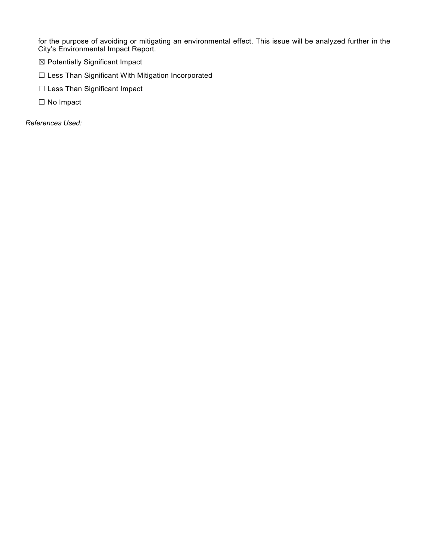for the purpose of avoiding or mitigating an environmental effect. This issue will be analyzed further in the City's Environmental Impact Report.

- ☒ Potentially Significant Impact
- ☐ Less Than Significant With Mitigation Incorporated
- ☐ Less Than Significant Impact
- <span id="page-36-0"></span>☐ No Impact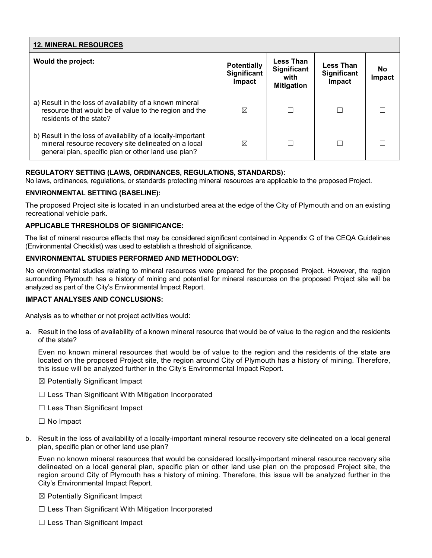<span id="page-37-0"></span>

| <b>12. MINERAL RESOURCES</b>                                                                                                                                                |                                                    |                                                              |                                           |               |
|-----------------------------------------------------------------------------------------------------------------------------------------------------------------------------|----------------------------------------------------|--------------------------------------------------------------|-------------------------------------------|---------------|
| Would the project:                                                                                                                                                          | <b>Potentially</b><br>Significant<br><b>Impact</b> | <b>Less Than</b><br>Significant<br>with<br><b>Mitigation</b> | <b>Less Than</b><br>Significant<br>Impact | No.<br>Impact |
| a) Result in the loss of availability of a known mineral<br>resource that would be of value to the region and the<br>residents of the state?                                | ⊠                                                  |                                                              |                                           |               |
| b) Result in the loss of availability of a locally-important<br>mineral resource recovery site delineated on a local<br>general plan, specific plan or other land use plan? | ⊠                                                  |                                                              |                                           |               |

No laws, ordinances, regulations, or standards protecting mineral resources are applicable to the proposed Project.

# **ENVIRONMENTAL SETTING (BASELINE):**

The proposed Project site is located in an undisturbed area at the edge of the City of Plymouth and on an existing recreational vehicle park.

### **APPLICABLE THRESHOLDS OF SIGNIFICANCE:**

The list of mineral resource effects that may be considered significant contained in Appendix G of the CEQA Guidelines (Environmental Checklist) was used to establish a threshold of significance.

# **ENVIRONMENTAL STUDIES PERFORMED AND METHODOLOGY:**

No environmental studies relating to mineral resources were prepared for the proposed Project. However, the region surrounding Plymouth has a history of mining and potential for mineral resources on the proposed Project site will be analyzed as part of the City's Environmental Impact Report.

### **IMPACT ANALYSES AND CONCLUSIONS:**

Analysis as to whether or not project activities would:

a. Result in the loss of availability of a known mineral resource that would be of value to the region and the residents of the state?

Even no known mineral resources that would be of value to the region and the residents of the state are located on the proposed Project site, the region around City of Plymouth has a history of mining. Therefore, this issue will be analyzed further in the City's Environmental Impact Report.

- $\boxtimes$  Potentially Significant Impact
- ☐ Less Than Significant With Mitigation Incorporated
- $\Box$  Less Than Significant Impact
- ☐ No Impact
- b. Result in the loss of availability of a locally-important mineral resource recovery site delineated on a local general plan, specific plan or other land use plan?

Even no known mineral resources that would be considered locally-important mineral resource recovery site delineated on a local general plan, specific plan or other land use plan on the proposed Project site, the region around City of Plymouth has a history of mining. Therefore, this issue will be analyzed further in the City's Environmental Impact Report.

- ☒ Potentially Significant Impact
- $\Box$  Less Than Significant With Mitigation Incorporated
- ☐ Less Than Significant Impact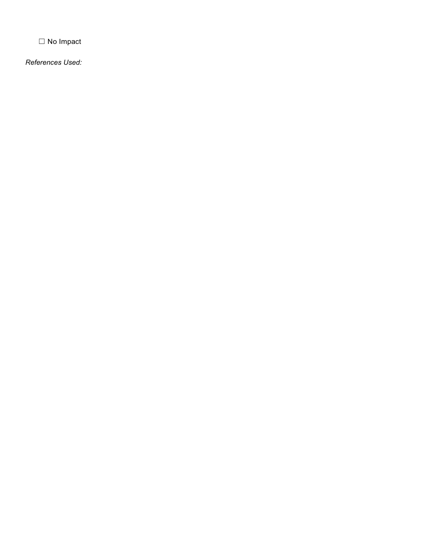<span id="page-38-0"></span>☐ No Impact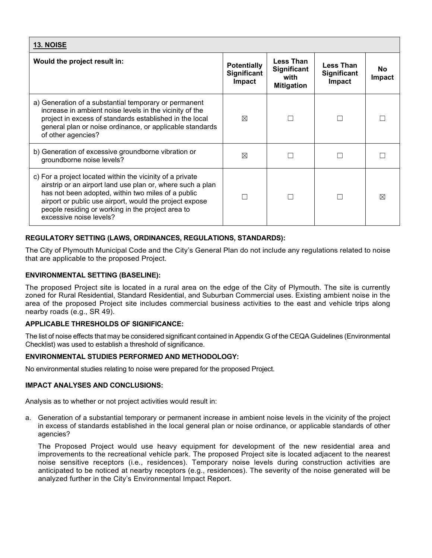<span id="page-39-0"></span>

| <b>13. NOISE</b>                                                                                                                                                                                                                                                                                                         |                                                    |                                                              |                                                  |                            |
|--------------------------------------------------------------------------------------------------------------------------------------------------------------------------------------------------------------------------------------------------------------------------------------------------------------------------|----------------------------------------------------|--------------------------------------------------------------|--------------------------------------------------|----------------------------|
| Would the project result in:                                                                                                                                                                                                                                                                                             | <b>Potentially</b><br>Significant<br><b>Impact</b> | <b>Less Than</b><br>Significant<br>with<br><b>Mitigation</b> | <b>Less Than</b><br><b>Significant</b><br>Impact | <b>No</b><br><b>Impact</b> |
| a) Generation of a substantial temporary or permanent<br>increase in ambient noise levels in the vicinity of the<br>project in excess of standards established in the local<br>general plan or noise ordinance, or applicable standards<br>of other agencies?                                                            | $\boxtimes$                                        |                                                              |                                                  |                            |
| b) Generation of excessive groundborne vibration or<br>groundborne noise levels?                                                                                                                                                                                                                                         | ⊠                                                  |                                                              |                                                  |                            |
| c) For a project located within the vicinity of a private<br>airstrip or an airport land use plan or, where such a plan<br>has not been adopted, within two miles of a public<br>airport or public use airport, would the project expose<br>people residing or working in the project area to<br>excessive noise levels? |                                                    |                                                              |                                                  | M                          |

The City of Plymouth Municipal Code and the City's General Plan do not include any regulations related to noise that are applicable to the proposed Project.

## **ENVIRONMENTAL SETTING (BASELINE):**

The proposed Project site is located in a rural area on the edge of the City of Plymouth. The site is currently zoned for Rural Residential, Standard Residential, and Suburban Commercial uses. Existing ambient noise in the area of the proposed Project site includes commercial business activities to the east and vehicle trips along nearby roads (e.g., SR 49).

#### **APPLICABLE THRESHOLDS OF SIGNIFICANCE:**

The list of noise effects that may be considered significant contained in Appendix G of the CEQA Guidelines (Environmental Checklist) was used to establish a threshold of significance.

#### **ENVIRONMENTAL STUDIES PERFORMED AND METHODOLOGY:**

No environmental studies relating to noise were prepared for the proposed Project.

#### **IMPACT ANALYSES AND CONCLUSIONS:**

Analysis as to whether or not project activities would result in:

a. Generation of a substantial temporary or permanent increase in ambient noise levels in the vicinity of the project in excess of standards established in the local general plan or noise ordinance, or applicable standards of other agencies?

The Proposed Project would use heavy equipment for development of the new residential area and improvements to the recreational vehicle park. The proposed Project site is located adjacent to the nearest noise sensitive receptors (i.e., residences). Temporary noise levels during construction activities are anticipated to be noticed at nearby receptors (e.g., residences). The severity of the noise generated will be analyzed further in the City's Environmental Impact Report.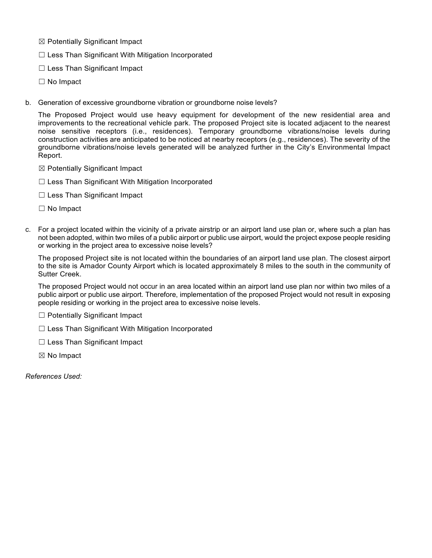- ☒ Potentially Significant Impact
- ☐ Less Than Significant With Mitigation Incorporated
- $\Box$  Less Than Significant Impact
- ☐ No Impact
- b. Generation of excessive groundborne vibration or groundborne noise levels?

The Proposed Project would use heavy equipment for development of the new residential area and improvements to the recreational vehicle park. The proposed Project site is located adjacent to the nearest noise sensitive receptors (i.e., residences). Temporary groundborne vibrations/noise levels during construction activities are anticipated to be noticed at nearby receptors (e.g., residences). The severity of the groundborne vibrations/noise levels generated will be analyzed further in the City's Environmental Impact Report.

- ☒ Potentially Significant Impact
- ☐ Less Than Significant With Mitigation Incorporated
- $\Box$  Less Than Significant Impact
- ☐ No Impact
- c. For a project located within the vicinity of a private airstrip or an airport land use plan or, where such a plan has not been adopted, within two miles of a public airport or public use airport, would the project expose people residing or working in the project area to excessive noise levels?

The proposed Project site is not located within the boundaries of an airport land use plan. The closest airport to the site is Amador County Airport which is located approximately 8 miles to the south in the community of Sutter Creek.

The proposed Project would not occur in an area located within an airport land use plan nor within two miles of a public airport or public use airport. Therefore, implementation of the proposed Project would not result in exposing people residing or working in the project area to excessive noise levels.

- ☐ Potentially Significant Impact
- ☐ Less Than Significant With Mitigation Incorporated
- $\Box$  Less Than Significant Impact
- ☒ No Impact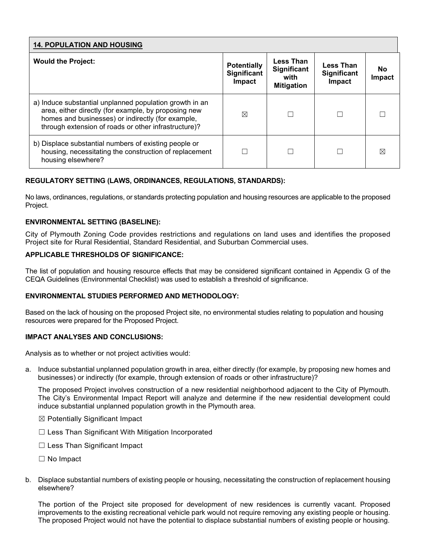<span id="page-41-0"></span>

| <b>14. POPULATION AND HOUSING</b>                                                                                                                                                                                            |                                                    |                                                                     |                                                  |                     |
|------------------------------------------------------------------------------------------------------------------------------------------------------------------------------------------------------------------------------|----------------------------------------------------|---------------------------------------------------------------------|--------------------------------------------------|---------------------|
| <b>Would the Project:</b>                                                                                                                                                                                                    | <b>Potentially</b><br><b>Significant</b><br>Impact | <b>Less Than</b><br><b>Significant</b><br>with<br><b>Mitigation</b> | <b>Less Than</b><br><b>Significant</b><br>Impact | <b>No</b><br>Impact |
| a) Induce substantial unplanned population growth in an<br>area, either directly (for example, by proposing new<br>homes and businesses) or indirectly (for example,<br>through extension of roads or other infrastructure)? | $\boxtimes$                                        |                                                                     |                                                  |                     |
| b) Displace substantial numbers of existing people or<br>housing, necessitating the construction of replacement<br>housing elsewhere?                                                                                        |                                                    |                                                                     |                                                  | $\boxtimes$         |

No laws, ordinances, regulations, or standards protecting population and housing resources are applicable to the proposed Project.

### **ENVIRONMENTAL SETTING (BASELINE):**

City of Plymouth Zoning Code provides restrictions and regulations on land uses and identifies the proposed Project site for Rural Residential, Standard Residential, and Suburban Commercial uses.

### **APPLICABLE THRESHOLDS OF SIGNIFICANCE:**

The list of population and housing resource effects that may be considered significant contained in Appendix G of the CEQA Guidelines (Environmental Checklist) was used to establish a threshold of significance.

# **ENVIRONMENTAL STUDIES PERFORMED AND METHODOLOGY:**

Based on the lack of housing on the proposed Project site, no environmental studies relating to population and housing resources were prepared for the Proposed Project.

#### **IMPACT ANALYSES AND CONCLUSIONS:**

Analysis as to whether or not project activities would:

a. Induce substantial unplanned population growth in area, either directly (for example, by proposing new homes and businesses) or indirectly (for example, through extension of roads or other infrastructure)?

The proposed Project involves construction of a new residential neighborhood adjacent to the City of Plymouth. The City's Environmental Impact Report will analyze and determine if the new residential development could induce substantial unplanned population growth in the Plymouth area.

- ☒ Potentially Significant Impact
- ☐ Less Than Significant With Mitigation Incorporated
- ☐ Less Than Significant Impact
- ☐ No Impact
- b. Displace substantial numbers of existing people or housing, necessitating the construction of replacement housing elsewhere?

The portion of the Project site proposed for development of new residences is currently vacant. Proposed improvements to the existing recreational vehicle park would not require removing any existing people or housing. The proposed Project would not have the potential to displace substantial numbers of existing people or housing.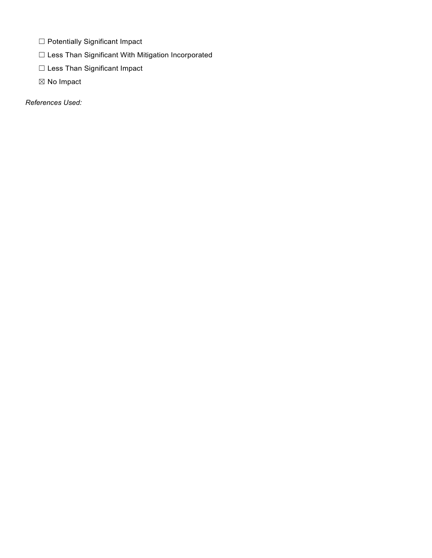- ☐ Potentially Significant Impact
- ☐ Less Than Significant With Mitigation Incorporated
- ☐ Less Than Significant Impact
- <span id="page-42-0"></span>☒ No Impact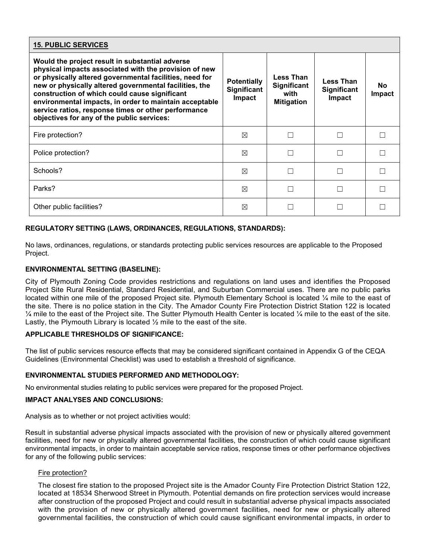<span id="page-43-0"></span>

| <b>15. PUBLIC SERVICES</b>                                                                                                                                                                                                                                                                                                                                                                                                                    |                                                    |                                                                     |                                           |                     |  |
|-----------------------------------------------------------------------------------------------------------------------------------------------------------------------------------------------------------------------------------------------------------------------------------------------------------------------------------------------------------------------------------------------------------------------------------------------|----------------------------------------------------|---------------------------------------------------------------------|-------------------------------------------|---------------------|--|
| Would the project result in substantial adverse<br>physical impacts associated with the provision of new<br>or physically altered governmental facilities, need for<br>new or physically altered governmental facilities, the<br>construction of which could cause significant<br>environmental impacts, in order to maintain acceptable<br>service ratios, response times or other performance<br>objectives for any of the public services: | <b>Potentially</b><br>Significant<br><b>Impact</b> | <b>Less Than</b><br><b>Significant</b><br>with<br><b>Mitigation</b> | Less Than<br><b>Significant</b><br>Impact | <b>No</b><br>Impact |  |
| Fire protection?                                                                                                                                                                                                                                                                                                                                                                                                                              | ⊠                                                  |                                                                     |                                           |                     |  |
| Police protection?                                                                                                                                                                                                                                                                                                                                                                                                                            | ⊠                                                  |                                                                     | Г                                         |                     |  |
| Schools?                                                                                                                                                                                                                                                                                                                                                                                                                                      | ⊠                                                  |                                                                     |                                           |                     |  |
| Parks?                                                                                                                                                                                                                                                                                                                                                                                                                                        | ⊠                                                  |                                                                     |                                           |                     |  |
| Other public facilities?                                                                                                                                                                                                                                                                                                                                                                                                                      | ⊠                                                  |                                                                     |                                           |                     |  |

No laws, ordinances, regulations, or standards protecting public services resources are applicable to the Proposed Project.

### **ENVIRONMENTAL SETTING (BASELINE):**

City of Plymouth Zoning Code provides restrictions and regulations on land uses and identifies the Proposed Project Site Rural Residential, Standard Residential, and Suburban Commercial uses. There are no public parks located within one mile of the proposed Project site. Plymouth Elementary School is located 1/4 mile to the east of the site. There is no police station in the City. The Amador County Fire Protection District Station 122 is located  $\frac{1}{4}$  mile to the east of the Project site. The Sutter Plymouth Health Center is located  $\frac{1}{4}$  mile to the east of the site. Lastly, the Plymouth Library is located ½ mile to the east of the site.

#### **APPLICABLE THRESHOLDS OF SIGNIFICANCE:**

The list of public services resource effects that may be considered significant contained in Appendix G of the CEQA Guidelines (Environmental Checklist) was used to establish a threshold of significance.

#### **ENVIRONMENTAL STUDIES PERFORMED AND METHODOLOGY:**

No environmental studies relating to public services were prepared for the proposed Project.

#### **IMPACT ANALYSES AND CONCLUSIONS:**

Analysis as to whether or not project activities would:

Result in substantial adverse physical impacts associated with the provision of new or physically altered government facilities, need for new or physically altered governmental facilities, the construction of which could cause significant environmental impacts, in order to maintain acceptable service ratios, response times or other performance objectives for any of the following public services:

#### Fire protection?

The closest fire station to the proposed Project site is the Amador County Fire Protection District Station 122, located at 18534 Sherwood Street in Plymouth. Potential demands on fire protection services would increase after construction of the proposed Project and could result in substantial adverse physical impacts associated with the provision of new or physically altered government facilities, need for new or physically altered governmental facilities, the construction of which could cause significant environmental impacts, in order to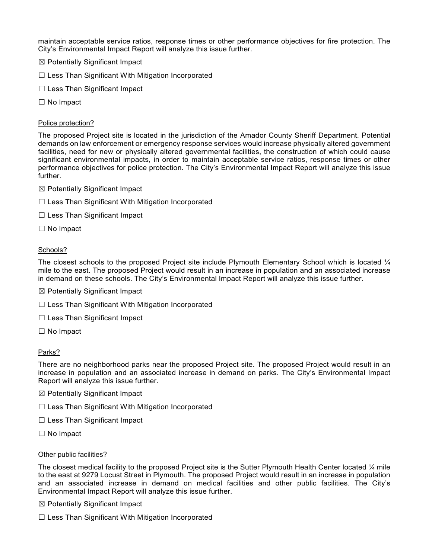maintain acceptable service ratios, response times or other performance objectives for fire protection. The City's Environmental Impact Report will analyze this issue further.

- ☒ Potentially Significant Impact
- ☐ Less Than Significant With Mitigation Incorporated
- $\Box$  Less Than Significant Impact
- ☐ No Impact

#### Police protection?

The proposed Project site is located in the jurisdiction of the Amador County Sheriff Department. Potential demands on law enforcement or emergency response services would increase physically altered government facilities, need for new or physically altered governmental facilities, the construction of which could cause significant environmental impacts, in order to maintain acceptable service ratios, response times or other performance objectives for police protection. The City's Environmental Impact Report will analyze this issue further.

- ☒ Potentially Significant Impact
- ☐ Less Than Significant With Mitigation Incorporated
- ☐ Less Than Significant Impact
- ☐ No Impact

### Schools?

The closest schools to the proposed Project site include Plymouth Elementary School which is located  $\frac{1}{4}$ mile to the east. The proposed Project would result in an increase in population and an associated increase in demand on these schools. The City's Environmental Impact Report will analyze this issue further.

- ☒ Potentially Significant Impact
- $\Box$  Less Than Significant With Mitigation Incorporated
- $\Box$  Less Than Significant Impact
- ☐ No Impact

#### Parks?

There are no neighborhood parks near the proposed Project site. The proposed Project would result in an increase in population and an associated increase in demand on parks. The City's Environmental Impact Report will analyze this issue further.

- $\boxtimes$  Potentially Significant Impact
- ☐ Less Than Significant With Mitigation Incorporated
- $\Box$  Less Than Significant Impact
- ☐ No Impact

#### Other public facilities?

The closest medical facility to the proposed Project site is the Sutter Plymouth Health Center located 1/4 mile to the east at 9279 Locust Street in Plymouth. The proposed Project would result in an increase in population and an associated increase in demand on medical facilities and other public facilities. The City's Environmental Impact Report will analyze this issue further.

- ☒ Potentially Significant Impact
- $\Box$  Less Than Significant With Mitigation Incorporated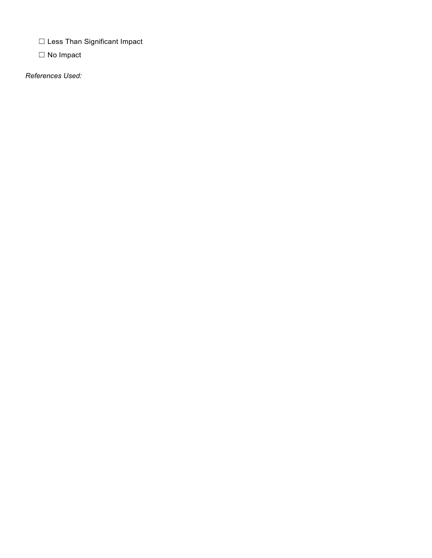☐ Less Than Significant Impact

<span id="page-45-0"></span>☐ No Impact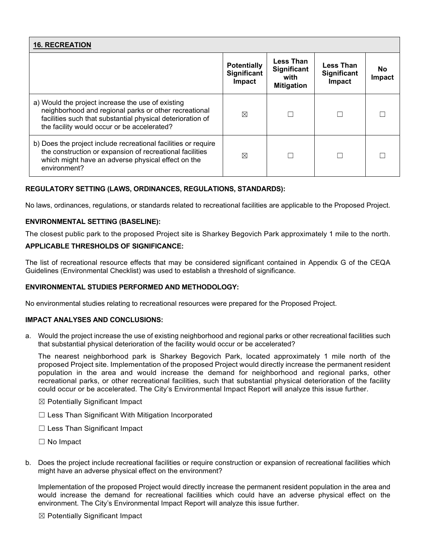<span id="page-46-0"></span>

| <b>16. RECREATION</b>                                                                                                                                                                                                   |                                                    |                                                              |                                           |               |
|-------------------------------------------------------------------------------------------------------------------------------------------------------------------------------------------------------------------------|----------------------------------------------------|--------------------------------------------------------------|-------------------------------------------|---------------|
|                                                                                                                                                                                                                         | <b>Potentially</b><br><b>Significant</b><br>Impact | <b>Less Than</b><br>Significant<br>with<br><b>Mitigation</b> | Less Than<br><b>Significant</b><br>Impact | No.<br>Impact |
| a) Would the project increase the use of existing<br>neighborhood and regional parks or other recreational<br>facilities such that substantial physical deterioration of<br>the facility would occur or be accelerated? | ⊠                                                  |                                                              |                                           |               |
| b) Does the project include recreational facilities or require<br>the construction or expansion of recreational facilities<br>which might have an adverse physical effect on the<br>environment?                        | $\boxtimes$                                        |                                                              |                                           |               |

No laws, ordinances, regulations, or standards related to recreational facilities are applicable to the Proposed Project.

### **ENVIRONMENTAL SETTING (BASELINE):**

The closest public park to the proposed Project site is Sharkey Begovich Park approximately 1 mile to the north.

#### **APPLICABLE THRESHOLDS OF SIGNIFICANCE:**

The list of recreational resource effects that may be considered significant contained in Appendix G of the CEQA Guidelines (Environmental Checklist) was used to establish a threshold of significance.

#### **ENVIRONMENTAL STUDIES PERFORMED AND METHODOLOGY:**

No environmental studies relating to recreational resources were prepared for the Proposed Project.

#### **IMPACT ANALYSES AND CONCLUSIONS:**

a. Would the project increase the use of existing neighborhood and regional parks or other recreational facilities such that substantial physical deterioration of the facility would occur or be accelerated?

The nearest neighborhood park is Sharkey Begovich Park, located approximately 1 mile north of the proposed Project site. Implementation of the proposed Project would directly increase the permanent resident population in the area and would increase the demand for neighborhood and regional parks, other recreational parks, or other recreational facilities, such that substantial physical deterioration of the facility could occur or be accelerated. The City's Environmental Impact Report will analyze this issue further.

- $\boxtimes$  Potentially Significant Impact
- ☐ Less Than Significant With Mitigation Incorporated
- $\Box$  Less Than Significant Impact
- ☐ No Impact
- b. Does the project include recreational facilities or require construction or expansion of recreational facilities which might have an adverse physical effect on the environment?

Implementation of the proposed Project would directly increase the permanent resident population in the area and would increase the demand for recreational facilities which could have an adverse physical effect on the environment. The City's Environmental Impact Report will analyze this issue further.

☒ Potentially Significant Impact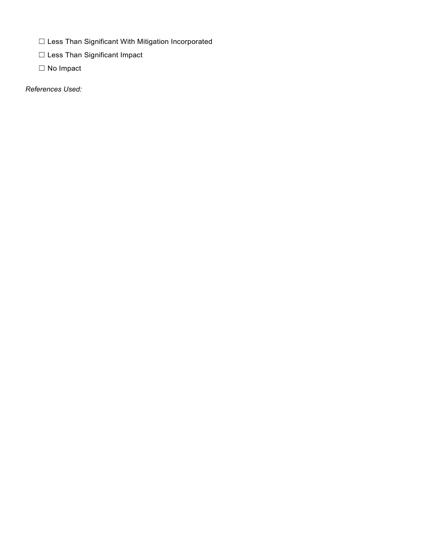- ☐ Less Than Significant With Mitigation Incorporated
- ☐ Less Than Significant Impact
- <span id="page-47-0"></span>☐ No Impact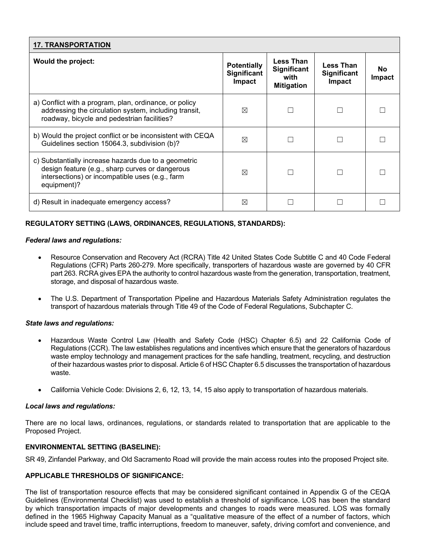<span id="page-48-0"></span>

| <b>17. TRANSPORTATION</b>                                                                                                                                                 |                                             |                                                              |                                                  |               |
|---------------------------------------------------------------------------------------------------------------------------------------------------------------------------|---------------------------------------------|--------------------------------------------------------------|--------------------------------------------------|---------------|
| <b>Would the project:</b>                                                                                                                                                 | <b>Potentially</b><br>Significant<br>Impact | <b>Less Than</b><br>Significant<br>with<br><b>Mitigation</b> | <b>Less Than</b><br><b>Significant</b><br>Impact | No.<br>Impact |
| a) Conflict with a program, plan, ordinance, or policy<br>addressing the circulation system, including transit,<br>roadway, bicycle and pedestrian facilities?            | ⊠                                           |                                                              |                                                  |               |
| b) Would the project conflict or be inconsistent with CEQA<br>Guidelines section 15064.3, subdivision (b)?                                                                | ⊠                                           |                                                              |                                                  |               |
| c) Substantially increase hazards due to a geometric<br>design feature (e.g., sharp curves or dangerous<br>intersections) or incompatible uses (e.g., farm<br>equipment)? | ⊠                                           |                                                              |                                                  |               |
| d) Result in inadequate emergency access?                                                                                                                                 | ⊠                                           |                                                              |                                                  |               |

### *Federal laws and regulations:*

- Resource Conservation and Recovery Act (RCRA) Title 42 United States Code Subtitle C and 40 Code Federal Regulations (CFR) Parts 260-279. More specifically, transporters of hazardous waste are governed by 40 CFR part 263. RCRA gives EPA the authority to control hazardous waste from the generation, transportation, treatment, storage, and disposal of hazardous waste.
- The U.S. Department of Transportation Pipeline and Hazardous Materials Safety Administration regulates the transport of hazardous materials through Title 49 of the Code of Federal Regulations, Subchapter C.

#### *State laws and regulations:*

- Hazardous Waste Control Law (Health and Safety Code (HSC) Chapter 6.5) and 22 California Code of Regulations (CCR). The law establishes regulations and incentives which ensure that the generators of hazardous waste employ technology and management practices for the safe handling, treatment, recycling, and destruction of their hazardous wastes prior to disposal. Article 6 of HSC Chapter 6.5 discusses the transportation of hazardous waste.
- California Vehicle Code: Divisions 2, 6, 12, 13, 14, 15 also apply to transportation of hazardous materials.

#### *Local laws and regulations:*

There are no local laws, ordinances, regulations, or standards related to transportation that are applicable to the Proposed Project.

#### **ENVIRONMENTAL SETTING (BASELINE):**

SR 49, Zinfandel Parkway, and Old Sacramento Road will provide the main access routes into the proposed Project site.

#### **APPLICABLE THRESHOLDS OF SIGNIFICANCE:**

The list of transportation resource effects that may be considered significant contained in Appendix G of the CEQA Guidelines (Environmental Checklist) was used to establish a threshold of significance. LOS has been the standard by which transportation impacts of major developments and changes to roads were measured. LOS was formally defined in the 1965 Highway Capacity Manual as a "qualitative measure of the effect of a number of factors, which include speed and travel time, traffic interruptions, freedom to maneuver, safety, driving comfort and convenience, and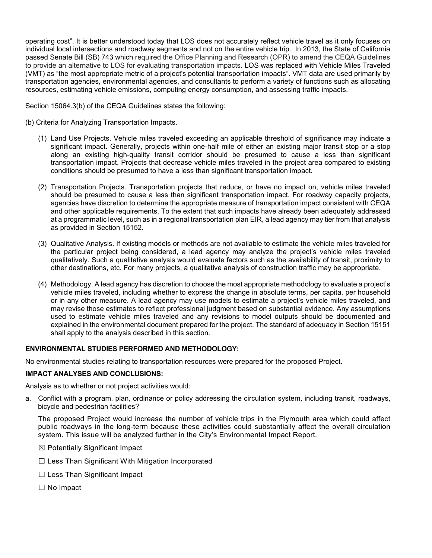operating cost". It is better understood today that LOS does not accurately reflect vehicle travel as it only focuses on individual local intersections and roadway segments and not on the entire vehicle trip. In 2013, the State of California passed Senate Bill (SB) 743 which required the Office Planning and Research (OPR) to amend the CEQA Guidelines to provide an alternative to LOS for evaluating transportation impacts. LOS was replaced with Vehicle Miles Traveled (VMT) as "the most appropriate metric of a project's potential transportation impacts". VMT data are used primarily by transportation agencies, environmental agencies, and consultants to perform a variety of functions such as allocating resources, estimating vehicle emissions, computing energy consumption, and assessing traffic impacts.

Section 15064.3(b) of the CEQA Guidelines states the following:

(b) Criteria for Analyzing Transportation Impacts.

- (1) Land Use Projects. Vehicle miles traveled exceeding an applicable threshold of significance may indicate a significant impact. Generally, projects within one-half mile of either an existing major transit stop or a stop along an existing high-quality transit corridor should be presumed to cause a less than significant transportation impact. Projects that decrease vehicle miles traveled in the project area compared to existing conditions should be presumed to have a less than significant transportation impact.
- (2) Transportation Projects. Transportation projects that reduce, or have no impact on, vehicle miles traveled should be presumed to cause a less than significant transportation impact. For roadway capacity projects, agencies have discretion to determine the appropriate measure of transportation impact consistent with CEQA and other applicable requirements. To the extent that such impacts have already been adequately addressed at a programmatic level, such as in a regional transportation plan EIR, a lead agency may tier from that analysis as provided in Section 15152.
- (3) Qualitative Analysis. If existing models or methods are not available to estimate the vehicle miles traveled for the particular project being considered, a lead agency may analyze the project's vehicle miles traveled qualitatively. Such a qualitative analysis would evaluate factors such as the availability of transit, proximity to other destinations, etc. For many projects, a qualitative analysis of construction traffic may be appropriate.
- (4) Methodology. A lead agency has discretion to choose the most appropriate methodology to evaluate a project's vehicle miles traveled, including whether to express the change in absolute terms, per capita, per household or in any other measure. A lead agency may use models to estimate a project's vehicle miles traveled, and may revise those estimates to reflect professional judgment based on substantial evidence. Any assumptions used to estimate vehicle miles traveled and any revisions to model outputs should be documented and explained in the environmental document prepared for the project. The standard of adequacy in Section 15151 shall apply to the analysis described in this section.

# **ENVIRONMENTAL STUDIES PERFORMED AND METHODOLOGY:**

No environmental studies relating to transportation resources were prepared for the proposed Project.

#### **IMPACT ANALYSES AND CONCLUSIONS:**

Analysis as to whether or not project activities would:

a. Conflict with a program, plan, ordinance or policy addressing the circulation system, including transit, roadways, bicycle and pedestrian facilities?

The proposed Project would increase the number of vehicle trips in the Plymouth area which could affect public roadways in the long-term because these activities could substantially affect the overall circulation system. This issue will be analyzed further in the City's Environmental Impact Report.

- $\boxtimes$  Potentially Significant Impact
- ☐ Less Than Significant With Mitigation Incorporated
- $\Box$  Less Than Significant Impact
- ☐ No Impact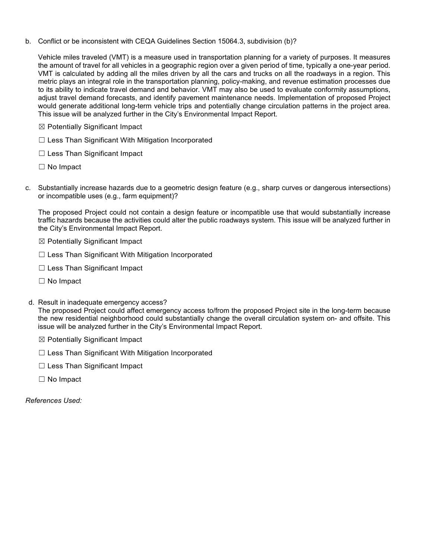b. Conflict or be inconsistent with CEQA Guidelines Section 15064.3, subdivision (b)?

Vehicle miles traveled (VMT) is a measure used in transportation planning for a variety of purposes. It measures the amount of travel for all vehicles in a geographic region over a given period of time, typically a one-year period. VMT is calculated by adding all the miles driven by all the cars and trucks on all the roadways in a region. This metric plays an integral role in the transportation planning, policy-making, and revenue estimation processes due to its ability to indicate travel demand and behavior. VMT may also be used to evaluate conformity assumptions, adjust travel demand forecasts, and identify pavement maintenance needs. Implementation of proposed Project would generate additional long-term vehicle trips and potentially change circulation patterns in the project area. This issue will be analyzed further in the City's Environmental Impact Report.

- ☒ Potentially Significant Impact
- ☐ Less Than Significant With Mitigation Incorporated
- $\Box$  Less Than Significant Impact
- ☐ No Impact
- c. Substantially increase hazards due to a geometric design feature (e.g., sharp curves or dangerous intersections) or incompatible uses (e.g., farm equipment)?

The proposed Project could not contain a design feature or incompatible use that would substantially increase traffic hazards because the activities could alter the public roadways system. This issue will be analyzed further in the City's Environmental Impact Report.

- ☒ Potentially Significant Impact
- ☐ Less Than Significant With Mitigation Incorporated
- $\Box$  Less Than Significant Impact
- ☐ No Impact
- d. Result in inadequate emergency access?

The proposed Project could affect emergency access to/from the proposed Project site in the long-term because the new residential neighborhood could substantially change the overall circulation system on- and offsite. This issue will be analyzed further in the City's Environmental Impact Report.

- ☒ Potentially Significant Impact
- ☐ Less Than Significant With Mitigation Incorporated
- $\Box$  Less Than Significant Impact
- <span id="page-50-0"></span>☐ No Impact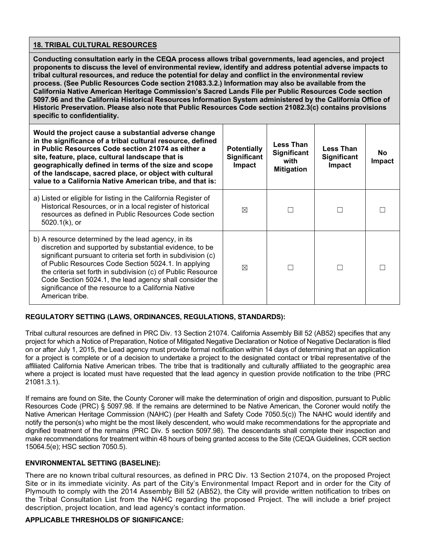# <span id="page-51-0"></span>**18. TRIBAL CULTURAL RESOURCES**

**Conducting consultation early in the CEQA process allows tribal governments, lead agencies, and project proponents to discuss the level of environmental review, identify and address potential adverse impacts to tribal cultural resources, and reduce the potential for delay and conflict in the environmental review process. (See Public Resources Code section 21083.3.2.) Information may also be available from the California Native American Heritage Commission's Sacred Lands File per Public Resources Code section 5097.96 and the California Historical Resources Information System administered by the California Office of Historic Preservation. Please also note that Public Resources Code section 21082.3(c) contains provisions specific to confidentiality.**

| Would the project cause a substantial adverse change<br>in the significance of a tribal cultural resource, defined<br>in Public Resources Code section 21074 as either a<br>site, feature, place, cultural landscape that is<br>geographically defined in terms of the size and scope<br>of the landscape, sacred place, or object with cultural<br>value to a California Native American tribe, and that is:                                | <b>Potentially</b><br><b>Significant</b><br>Impact | <b>Less Than</b><br><b>Significant</b><br>with<br><b>Mitigation</b> | <b>Less Than</b><br><b>Significant</b><br>Impact | <b>No</b><br><b>Impact</b> |
|----------------------------------------------------------------------------------------------------------------------------------------------------------------------------------------------------------------------------------------------------------------------------------------------------------------------------------------------------------------------------------------------------------------------------------------------|----------------------------------------------------|---------------------------------------------------------------------|--------------------------------------------------|----------------------------|
| a) Listed or eligible for listing in the California Register of<br>Historical Resources, or in a local register of historical<br>resources as defined in Public Resources Code section<br>$5020.1(k)$ , or                                                                                                                                                                                                                                   | ⊠                                                  |                                                                     |                                                  |                            |
| b) A resource determined by the lead agency, in its<br>discretion and supported by substantial evidence, to be<br>significant pursuant to criteria set forth in subdivision (c)<br>of Public Resources Code Section 5024.1. In applying<br>the criteria set forth in subdivision (c) of Public Resource<br>Code Section 5024.1, the lead agency shall consider the<br>significance of the resource to a California Native<br>American tribe. | ⊠                                                  |                                                                     |                                                  |                            |

# **REGULATORY SETTING (LAWS, ORDINANCES, REGULATIONS, STANDARDS):**

Tribal cultural resources are defined in PRC Div. 13 Section 21074. California Assembly Bill 52 (AB52) specifies that any project for which a Notice of Preparation, Notice of Mitigated Negative Declaration or Notice of Negative Declaration is filed on or after July 1, 2015, the Lead agency must provide formal notification within 14 days of determining that an application for a project is complete or of a decision to undertake a project to the designated contact or tribal representative of the affiliated California Native American tribes. The tribe that is traditionally and culturally affiliated to the geographic area where a project is located must have requested that the lead agency in question provide notification to the tribe (PRC 21081.3.1).

If remains are found on Site, the County Coroner will make the determination of origin and disposition, pursuant to Public Resources Code (PRC) § 5097.98. If the remains are determined to be Native American, the Coroner would notify the Native American Heritage Commission (NAHC) (per Health and Safety Code 7050.5(c)) The NAHC would identify and notify the person(s) who might be the most likely descendent, who would make recommendations for the appropriate and dignified treatment of the remains (PRC Div. 5 section 5097.98). The descendants shall complete their inspection and make recommendations for treatment within 48 hours of being granted access to the Site (CEQA Guidelines, CCR section 15064.5(e); HSC section 7050.5).

# **ENVIRONMENTAL SETTING (BASELINE):**

There are no known tribal cultural resources, as defined in PRC Div. 13 Section 21074, on the proposed Project Site or in its immediate vicinity. As part of the City's Environmental Impact Report and in order for the City of Plymouth to comply with the 2014 Assembly Bill 52 (AB52), the City will provide written notification to tribes on the Tribal Consultation List from the NAHC regarding the proposed Project. The will include a brief project description, project location, and lead agency's contact information.

#### **APPLICABLE THRESHOLDS OF SIGNIFICANCE:**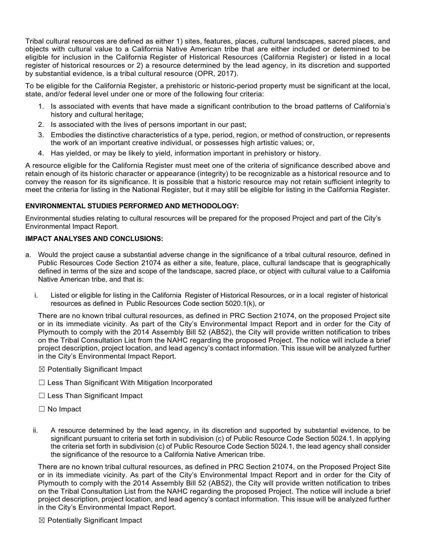Tribal cultural resources are defined as either 1) sites, features, places, cultural landscapes, sacred places, and objects with cultural value to a California Native American tribe that are either included or determined to be eligible for inclusion in the California Register of Historical Resources (California Register) or listed in a local register of historical resources or 2) a resource determined by the lead agency, in its discretion and supported by substantial evidence, is a tribal cultural resource (OPR, 2017).

To be eligible for the California Register, a prehistoric or historic-period property must be significant at the local, state, and/or federal level under one or more of the following four criteria:

- 1. Is associated with events that have made a significant contribution to the broad patterns of California's history and cultural heritage;
- 2. Is associated with the lives of persons important in our past;
- 3. Embodies the distinctive characteristics of a type, period, region, or method of construction, or represents the work of an important creative individual, or possesses high artistic values; or,
- 4. Has yielded, or may be likely to yield, information important in prehistory or history.

A resource eligible for the California Register must meet one of the criteria of significance described above and retain enough of its historic character or appearance (integrity) to be recognizable as a historical resource and to convey the reason for its significance. It is possible that a historic resource may not retain sufficient integrity to meet the criteria for listing in the National Register, but it may still be eligible for listing in the California Register.

### **ENVIRONMENTAL STUDIES PERFORMED AND METHODOLOGY:**

Environmental studies relating to cultural resources will be prepared for the proposed Project and part of the City's Environmental Impact Report.

#### **IMPACT ANALYSES AND CONCLUSIONS:**

- a. Would the project cause a substantial adverse change in the significance of a tribal cultural resource, defined in Public Resources Code Section 21074 as either a site, feature, place, cultural landscape that is geographically defined in terms of the size and scope of the landscape, sacred place, or object with cultural value to a California Native American tribe, and that is:
	- i. Listed or eligible for listing in the California Register of Historical Resources, or in a local register of historical resources as defined in Public Resources Code section 5020.1(k), or

There are no known tribal cultural resources, as defined in PRC Section 21074, on the proposed Project site or in its immediate vicinity. As part of the City's Environmental Impact Report and in order for the City of Plymouth to comply with the 2014 Assembly Bill 52 (AB52), the City will provide written notification to tribes on the Tribal Consultation List from the NAHC regarding the proposed Project. The notice will include a brief project description, project location, and lead agency's contact information. This issue will be analyzed further in the City's Environmental Impact Report.

- ☒ Potentially Significant Impact
- ☐ Less Than Significant With Mitigation Incorporated
- $\Box$  Less Than Significant Impact
- ☐ No Impact
- ii. A resource determined by the lead agency, in its discretion and supported by substantial evidence, to be significant pursuant to criteria set forth in subdivision (c) of Public Resource Code Section 5024.1. In applying the criteria set forth in subdivision (c) of Public Resource Code Section 5024.1, the lead agency shall consider the significance of the resource to a California Native American tribe.

There are no known tribal cultural resources, as defined in PRC Section 21074, on the Proposed Project Site or in its immediate vicinity. As part of the City's Environmental Impact Report and in order for the City of Plymouth to comply with the 2014 Assembly Bill 52 (AB52), the City will provide written notification to tribes on the Tribal Consultation List from the NAHC regarding the proposed Project. The notice will include a brief project description, project location, and lead agency's contact information. This issue will be analyzed further in the City's Environmental Impact Report.

☒ Potentially Significant Impact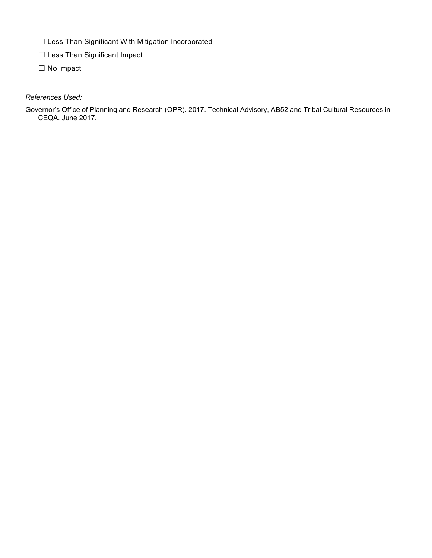- ☐ Less Than Significant With Mitigation Incorporated
- ☐ Less Than Significant Impact
- ☐ No Impact

# *References Used:*

<span id="page-53-0"></span>Governor's Office of Planning and Research (OPR). 2017. Technical Advisory, AB52 and Tribal Cultural Resources in CEQA. June 2017.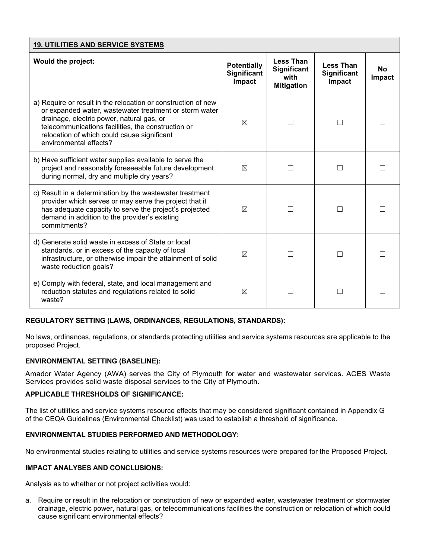<span id="page-54-0"></span>

| <b>19. UTILITIES AND SERVICE SYSTEMS</b>                                                                                                                                                                                                                                                            |                                             |                                                                     |                                           |                     |
|-----------------------------------------------------------------------------------------------------------------------------------------------------------------------------------------------------------------------------------------------------------------------------------------------------|---------------------------------------------|---------------------------------------------------------------------|-------------------------------------------|---------------------|
| Would the project:                                                                                                                                                                                                                                                                                  | <b>Potentially</b><br>Significant<br>Impact | <b>Less Than</b><br><b>Significant</b><br>with<br><b>Mitigation</b> | <b>Less Than</b><br>Significant<br>Impact | No<br><b>Impact</b> |
| a) Require or result in the relocation or construction of new<br>or expanded water, wastewater treatment or storm water<br>drainage, electric power, natural gas, or<br>telecommunications facilities, the construction or<br>relocation of which could cause significant<br>environmental effects? | ⊠                                           | П                                                                   | П                                         |                     |
| b) Have sufficient water supplies available to serve the<br>project and reasonably foreseeable future development<br>during normal, dry and multiple dry years?                                                                                                                                     | ⊠                                           |                                                                     |                                           |                     |
| c) Result in a determination by the wastewater treatment<br>provider which serves or may serve the project that it<br>has adequate capacity to serve the project's projected<br>demand in addition to the provider's existing<br>commitments?                                                       | ⊠                                           | П                                                                   | П                                         |                     |
| d) Generate solid waste in excess of State or local<br>standards, or in excess of the capacity of local<br>infrastructure, or otherwise impair the attainment of solid<br>waste reduction goals?                                                                                                    | ⊠                                           | Г                                                                   | П                                         |                     |
| e) Comply with federal, state, and local management and<br>reduction statutes and regulations related to solid<br>waste?                                                                                                                                                                            | ⊠                                           |                                                                     |                                           |                     |

No laws, ordinances, regulations, or standards protecting utilities and service systems resources are applicable to the proposed Project.

# **ENVIRONMENTAL SETTING (BASELINE):**

Amador Water Agency (AWA) serves the City of Plymouth for water and wastewater services. ACES Waste Services provides solid waste disposal services to the City of Plymouth.

#### **APPLICABLE THRESHOLDS OF SIGNIFICANCE:**

The list of utilities and service systems resource effects that may be considered significant contained in Appendix G of the CEQA Guidelines (Environmental Checklist) was used to establish a threshold of significance.

#### **ENVIRONMENTAL STUDIES PERFORMED AND METHODOLOGY:**

No environmental studies relating to utilities and service systems resources were prepared for the Proposed Project.

#### **IMPACT ANALYSES AND CONCLUSIONS:**

Analysis as to whether or not project activities would:

a. Require or result in the relocation or construction of new or expanded water, wastewater treatment or stormwater drainage, electric power, natural gas, or telecommunications facilities the construction or relocation of which could cause significant environmental effects?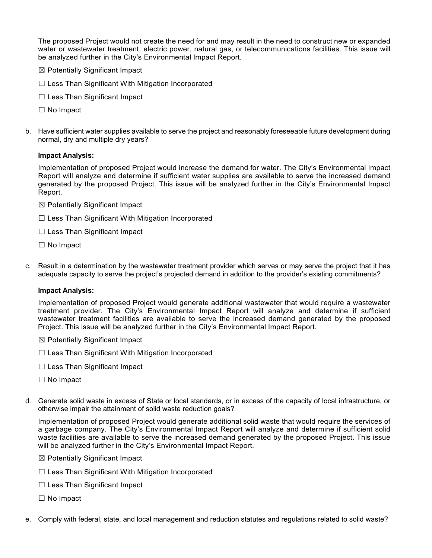The proposed Project would not create the need for and may result in the need to construct new or expanded water or wastewater treatment, electric power, natural gas, or telecommunications facilities. This issue will be analyzed further in the City's Environmental Impact Report.

- $\boxtimes$  Potentially Significant Impact
- $\Box$  Less Than Significant With Mitigation Incorporated
- ☐ Less Than Significant Impact
- ☐ No Impact
- b. Have sufficient water supplies available to serve the project and reasonably foreseeable future development during normal, dry and multiple dry years?

#### **Impact Analysis:**

Implementation of proposed Project would increase the demand for water. The City's Environmental Impact Report will analyze and determine if sufficient water supplies are available to serve the increased demand generated by the proposed Project. This issue will be analyzed further in the City's Environmental Impact Report.

- ☒ Potentially Significant Impact
- ☐ Less Than Significant With Mitigation Incorporated
- ☐ Less Than Significant Impact
- ☐ No Impact
- c. Result in a determination by the wastewater treatment provider which serves or may serve the project that it has adequate capacity to serve the project's projected demand in addition to the provider's existing commitments?

#### **Impact Analysis:**

Implementation of proposed Project would generate additional wastewater that would require a wastewater treatment provider. The City's Environmental Impact Report will analyze and determine if sufficient wastewater treatment facilities are available to serve the increased demand generated by the proposed Project. This issue will be analyzed further in the City's Environmental Impact Report.

- $\boxtimes$  Potentially Significant Impact
- $\Box$  Less Than Significant With Mitigation Incorporated
- $\Box$  Less Than Significant Impact
- ☐ No Impact
- d. Generate solid waste in excess of State or local standards, or in excess of the capacity of local infrastructure, or otherwise impair the attainment of solid waste reduction goals?

Implementation of proposed Project would generate additional solid waste that would require the services of a garbage company. The City's Environmental Impact Report will analyze and determine if sufficient solid waste facilities are available to serve the increased demand generated by the proposed Project. This issue will be analyzed further in the City's Environmental Impact Report.

- ☒ Potentially Significant Impact
- ☐ Less Than Significant With Mitigation Incorporated
- $\Box$  Less Than Significant Impact
- ☐ No Impact
- e. Comply with federal, state, and local management and reduction statutes and regulations related to solid waste?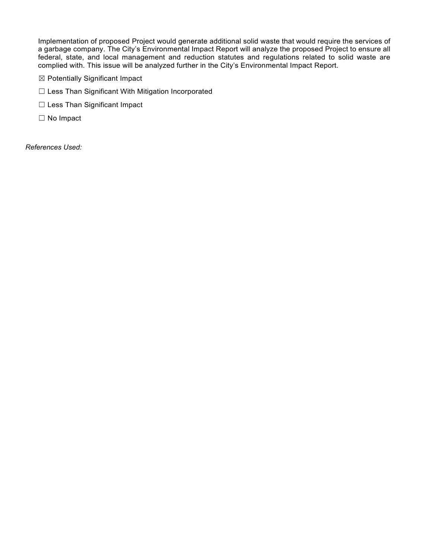Implementation of proposed Project would generate additional solid waste that would require the services of a garbage company. The City's Environmental Impact Report will analyze the proposed Project to ensure all federal, state, and local management and reduction statutes and regulations related to solid waste are complied with. This issue will be analyzed further in the City's Environmental Impact Report.

- ☒ Potentially Significant Impact
- ☐ Less Than Significant With Mitigation Incorporated
- ☐ Less Than Significant Impact
- <span id="page-56-0"></span>☐ No Impact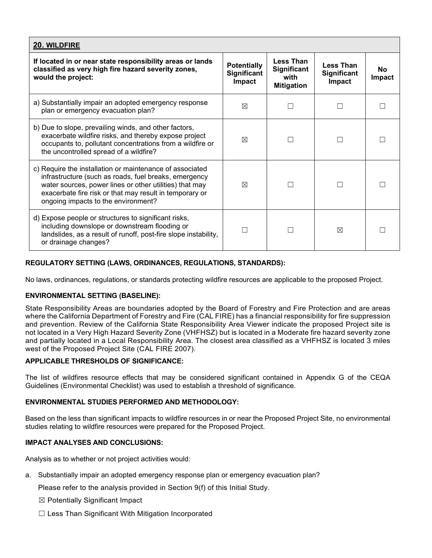<span id="page-57-0"></span>

| <b>20. WILDFIRE</b>                                                                                                                                                                                                                                                            |                                                    |                                                              |                                                  |                     |
|--------------------------------------------------------------------------------------------------------------------------------------------------------------------------------------------------------------------------------------------------------------------------------|----------------------------------------------------|--------------------------------------------------------------|--------------------------------------------------|---------------------|
| If located in or near state responsibility areas or lands<br>classified as very high fire hazard severity zones,<br>would the project:                                                                                                                                         | <b>Potentially</b><br><b>Significant</b><br>Impact | <b>Less Than</b><br>Significant<br>with<br><b>Mitigation</b> | <b>Less Than</b><br><b>Significant</b><br>Impact | <b>No</b><br>Impact |
| a) Substantially impair an adopted emergency response<br>plan or emergency evacuation plan?                                                                                                                                                                                    | ⊠                                                  |                                                              |                                                  |                     |
| b) Due to slope, prevailing winds, and other factors,<br>exacerbate wildfire risks, and thereby expose project<br>occupants to, pollutant concentrations from a wildfire or<br>the uncontrolled spread of a wildfire?                                                          | ⊠                                                  |                                                              |                                                  |                     |
| c) Require the installation or maintenance of associated<br>infrastructure (such as roads, fuel breaks, emergency<br>water sources, power lines or other utilities) that may<br>exacerbate fire risk or that may result in temporary or<br>ongoing impacts to the environment? | ⊠                                                  |                                                              |                                                  |                     |
| d) Expose people or structures to significant risks,<br>including downslope or downstream flooding or<br>landslides, as a result of runoff, post-fire slope instability,<br>or drainage changes?                                                                               |                                                    |                                                              | ⊠                                                |                     |

No laws, ordinances, regulations, or standards protecting wildfire resources are applicable to the proposed Project.

# **ENVIRONMENTAL SETTING (BASELINE):**

State Responsibility Areas are boundaries adopted by the Board of Forestry and Fire Protection and are areas where the California Department of Forestry and Fire (CAL FIRE) has a financial responsibility for fire suppression and prevention. Review of the California State Responsibility Area Viewer indicate the proposed Project site is not located in a Very High Hazard Severity Zone (VHFHSZ) but is located in a Moderate fire hazard severity zone and partially located in a Local Responsibility Area. The closest area classified as a VHFHSZ is located 3 miles west of the Proposed Project Site (CAL FIRE 2007).

# **APPLICABLE THRESHOLDS OF SIGNIFICANCE:**

The list of wildfires resource effects that may be considered significant contained in Appendix G of the CEQA Guidelines (Environmental Checklist) was used to establish a threshold of significance.

#### **ENVIRONMENTAL STUDIES PERFORMED AND METHODOLOGY:**

Based on the less than significant impacts to wildfire resources in or near the Proposed Project Site, no environmental studies relating to wildfire resources were prepared for the Proposed Project.

#### **IMPACT ANALYSES AND CONCLUSIONS:**

Analysis as to whether or not project activities would:

a. Substantially impair an adopted emergency response plan or emergency evacuation plan?

Please refer to the analysis provided in Section 9(f) of this Initial Study.

 $\boxtimes$  Potentially Significant Impact

 $\Box$  Less Than Significant With Mitigation Incorporated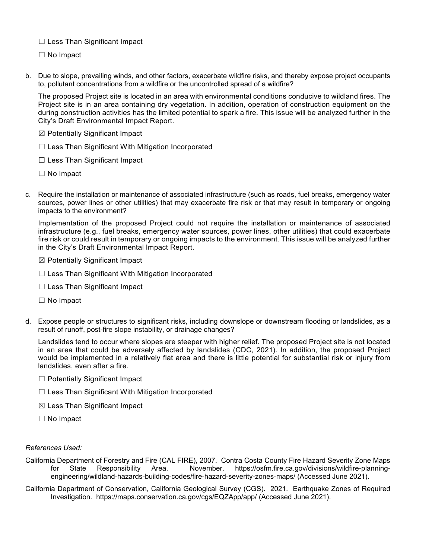- $\Box$  Less Than Significant Impact
- ☐ No Impact
- b. Due to slope, prevailing winds, and other factors, exacerbate wildfire risks, and thereby expose project occupants to, pollutant concentrations from a wildfire or the uncontrolled spread of a wildfire?

The proposed Project site is located in an area with environmental conditions conducive to wildland fires. The Project site is in an area containing dry vegetation. In addition, operation of construction equipment on the during construction activities has the limited potential to spark a fire. This issue will be analyzed further in the City's Draft Environmental Impact Report.

- ☒ Potentially Significant Impact
- ☐ Less Than Significant With Mitigation Incorporated
- $\Box$  Less Than Significant Impact
- ☐ No Impact
- c. Require the installation or maintenance of associated infrastructure (such as roads, fuel breaks, emergency water sources, power lines or other utilities) that may exacerbate fire risk or that may result in temporary or ongoing impacts to the environment?

Implementation of the proposed Project could not require the installation or maintenance of associated infrastructure (e.g., fuel breaks, emergency water sources, power lines, other utilities) that could exacerbate fire risk or could result in temporary or ongoing impacts to the environment. This issue will be analyzed further in the City's Draft Environmental Impact Report.

- ☒ Potentially Significant Impact
- $\Box$  Less Than Significant With Mitigation Incorporated
- ☐ Less Than Significant Impact
- ☐ No Impact
- d. Expose people or structures to significant risks, including downslope or downstream flooding or landslides, as a result of runoff, post-fire slope instability, or drainage changes?

Landslides tend to occur where slopes are steeper with higher relief. The proposed Project site is not located in an area that could be adversely affected by landslides (CDC, 2021). In addition, the proposed Project would be implemented in a relatively flat area and there is little potential for substantial risk or injury from landslides, even after a fire.

- ☐ Potentially Significant Impact
- $\Box$  Less Than Significant With Mitigation Incorporated
- $\boxtimes$  Less Than Significant Impact
- ☐ No Impact

- California Department of Forestry and Fire (CAL FIRE), 2007. Contra Costa County Fire Hazard Severity Zone Maps for State Responsibility Area. November. https://osfm.fire.ca.gov/divisions/wildfire-planningengineering/wildland-hazards-building-codes/fire-hazard-severity-zones-maps/ (Accessed June 2021).
- <span id="page-58-0"></span>California Department of Conservation, California Geological Survey (CGS). 2021. Earthquake Zones of Required Investigation. https://maps.conservation.ca.gov/cgs/EQZApp/app/ (Accessed June 2021).